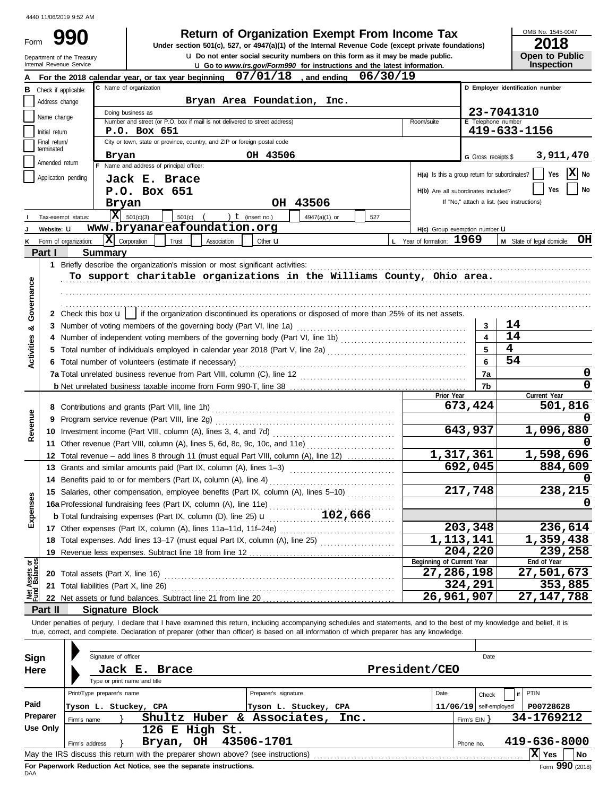Form 990

## **Return of Organization Exempt From Income Tax**

**u** Do not enter social security numbers on this form as it may be made public. **Under section 501(c), 527, or 4947(a)(1) of the Internal Revenue Code (except private foundations)** OMB No. 1545-0047

| ZUIU                  |  |
|-----------------------|--|
| <b>Open to Public</b> |  |
| Inspection            |  |

|                                |                             | Department of the Treasury<br>Internal Revenue Service | <b>u</b> Do not enter social security numbers on this form as it may be made public.                                                                                                                                                                                                                                     |                         |               | <b>u</b> Go to <i>www.irs.gov/Form990</i> for instructions and the latest information. |                                               |                          | <b>Open to Public</b><br><b>Inspection</b> |
|--------------------------------|-----------------------------|--------------------------------------------------------|--------------------------------------------------------------------------------------------------------------------------------------------------------------------------------------------------------------------------------------------------------------------------------------------------------------------------|-------------------------|---------------|----------------------------------------------------------------------------------------|-----------------------------------------------|--------------------------|--------------------------------------------|
|                                |                             |                                                        | For the 2018 calendar year, or tax year beginning                                                                                                                                                                                                                                                                        | $07/01/18$ , and ending |               | 06/30/19                                                                               |                                               |                          |                                            |
| в                              | Check if applicable:        |                                                        | C Name of organization                                                                                                                                                                                                                                                                                                   |                         |               |                                                                                        |                                               |                          | D Employer identification number           |
|                                | Address change              |                                                        | Bryan Area Foundation, Inc.                                                                                                                                                                                                                                                                                              |                         |               |                                                                                        |                                               |                          |                                            |
|                                |                             |                                                        | Doing business as                                                                                                                                                                                                                                                                                                        |                         |               |                                                                                        |                                               |                          | 23-7041310                                 |
|                                | Name change                 |                                                        | Number and street (or P.O. box if mail is not delivered to street address)                                                                                                                                                                                                                                               |                         |               |                                                                                        | Room/suite                                    | E Telephone number       |                                            |
|                                | Initial return              |                                                        | P.O. Box 651                                                                                                                                                                                                                                                                                                             |                         |               |                                                                                        |                                               |                          | 419-633-1156                               |
|                                | Final return/<br>terminated |                                                        | City or town, state or province, country, and ZIP or foreign postal code                                                                                                                                                                                                                                                 |                         |               |                                                                                        |                                               |                          |                                            |
|                                | Amended return              |                                                        | Bryan<br>F Name and address of principal officer:                                                                                                                                                                                                                                                                        | OH 43506                |               |                                                                                        |                                               | G Gross receipts \$      | 3,911,470                                  |
|                                | Application pending         |                                                        |                                                                                                                                                                                                                                                                                                                          |                         |               |                                                                                        | H(a) Is this a group return for subordinates? |                          | x <br>Yes<br>No                            |
|                                |                             |                                                        | Jack E. Brace                                                                                                                                                                                                                                                                                                            |                         |               |                                                                                        |                                               |                          | No<br>Yes                                  |
|                                |                             |                                                        | P.O. Box 651                                                                                                                                                                                                                                                                                                             |                         |               |                                                                                        | H(b) Are all subordinates included?           |                          | If "No," attach a list. (see instructions) |
|                                |                             |                                                        | Bryan                                                                                                                                                                                                                                                                                                                    | OH 43506                |               |                                                                                        |                                               |                          |                                            |
|                                |                             | Tax-exempt status:                                     | x <br>501(c)(3)<br>501(c)<br>www.bryanareafoundation.org                                                                                                                                                                                                                                                                 | ) $t$ (insert no.)      | 4947(a)(1) or | 527                                                                                    |                                               |                          |                                            |
|                                | Website: U                  |                                                        |                                                                                                                                                                                                                                                                                                                          |                         |               |                                                                                        | H(c) Group exemption number LI                |                          |                                            |
|                                |                             | Form of organization:                                  | $ \mathbf{X} $ Corporation<br>Trust<br>Association                                                                                                                                                                                                                                                                       | Other <b>u</b>          |               |                                                                                        | L Year of formation: 1969                     |                          | OН<br>M State of legal domicile:           |
|                                | Part I                      | Summary                                                |                                                                                                                                                                                                                                                                                                                          |                         |               |                                                                                        |                                               |                          |                                            |
|                                |                             |                                                        | 1 Briefly describe the organization's mission or most significant activities:                                                                                                                                                                                                                                            |                         |               |                                                                                        |                                               |                          |                                            |
|                                |                             |                                                        | To support charitable organizations in the Williams County, Ohio area.                                                                                                                                                                                                                                                   |                         |               |                                                                                        |                                               |                          |                                            |
| Governance                     |                             |                                                        |                                                                                                                                                                                                                                                                                                                          |                         |               |                                                                                        |                                               |                          |                                            |
|                                |                             |                                                        |                                                                                                                                                                                                                                                                                                                          |                         |               |                                                                                        |                                               |                          |                                            |
|                                |                             |                                                        | 2 Check this box $\mathbf{u}$   if the organization discontinued its operations or disposed of more than 25% of its net assets.                                                                                                                                                                                          |                         |               |                                                                                        |                                               |                          | 14                                         |
| ಯ                              |                             |                                                        |                                                                                                                                                                                                                                                                                                                          |                         |               |                                                                                        |                                               | 3                        | 14                                         |
| Activities                     |                             |                                                        |                                                                                                                                                                                                                                                                                                                          |                         |               |                                                                                        |                                               | 4                        | $\overline{\mathbf{4}}$                    |
|                                |                             |                                                        |                                                                                                                                                                                                                                                                                                                          |                         |               |                                                                                        |                                               | 5                        | 54                                         |
|                                |                             |                                                        | 6 Total number of volunteers (estimate if necessary)                                                                                                                                                                                                                                                                     |                         |               |                                                                                        |                                               | 6                        | 0                                          |
|                                |                             |                                                        |                                                                                                                                                                                                                                                                                                                          |                         |               |                                                                                        |                                               | 7a                       | 0                                          |
|                                |                             |                                                        |                                                                                                                                                                                                                                                                                                                          |                         |               |                                                                                        | Prior Year                                    | 7b                       | Current Year                               |
|                                |                             |                                                        |                                                                                                                                                                                                                                                                                                                          |                         |               |                                                                                        |                                               | 673,424                  | 501,816                                    |
| Revenue                        |                             |                                                        | 9 Program service revenue (Part VIII, line 2g)                                                                                                                                                                                                                                                                           |                         |               |                                                                                        |                                               |                          |                                            |
|                                |                             |                                                        |                                                                                                                                                                                                                                                                                                                          |                         |               |                                                                                        |                                               | 643,937                  | 1,096,880                                  |
|                                |                             |                                                        | 11 Other revenue (Part VIII, column (A), lines 5, 6d, 8c, 9c, 10c, and 11e)                                                                                                                                                                                                                                              |                         |               |                                                                                        |                                               |                          |                                            |
|                                |                             |                                                        | 12 Total revenue - add lines 8 through 11 (must equal Part VIII, column (A), line 12)                                                                                                                                                                                                                                    |                         |               |                                                                                        | 1,317,361                                     |                          | 1,598,696                                  |
|                                |                             |                                                        | 13 Grants and similar amounts paid (Part IX, column (A), lines 1-3)                                                                                                                                                                                                                                                      |                         |               |                                                                                        |                                               | 692,045                  | 884,609                                    |
|                                |                             |                                                        | 14 Benefits paid to or for members (Part IX, column (A), line 4)                                                                                                                                                                                                                                                         |                         |               | .                                                                                      |                                               |                          |                                            |
|                                |                             |                                                        | 15 Salaries, other compensation, employee benefits (Part IX, column (A), lines 5-10)                                                                                                                                                                                                                                     |                         |               |                                                                                        |                                               | 217,748                  | 238,215                                    |
| Ses                            |                             |                                                        |                                                                                                                                                                                                                                                                                                                          |                         |               |                                                                                        |                                               |                          |                                            |
| Expens                         |                             |                                                        | <b>b</b> Total fundraising expenses (Part IX, column (D), line 25) <b>u</b>                                                                                                                                                                                                                                              |                         | 102,666       |                                                                                        |                                               |                          |                                            |
|                                |                             |                                                        | 17 Other expenses (Part IX, column (A), lines 11a-11d, 11f-24e)                                                                                                                                                                                                                                                          |                         |               |                                                                                        |                                               | 203,348                  | 236,614                                    |
|                                |                             |                                                        | 18 Total expenses. Add lines 13-17 (must equal Part IX, column (A), line 25)                                                                                                                                                                                                                                             |                         |               |                                                                                        | 1,113,141                                     |                          | 1,359,438                                  |
|                                |                             |                                                        | 19 Revenue less expenses. Subtract line 18 from line 12                                                                                                                                                                                                                                                                  |                         |               |                                                                                        |                                               | 204,220                  | 239,258                                    |
| Net Assets or<br>Fund Balances |                             |                                                        |                                                                                                                                                                                                                                                                                                                          |                         |               |                                                                                        | Beginning of Current Year                     |                          | End of Year                                |
|                                |                             | 20 Total assets (Part X, line 16)                      |                                                                                                                                                                                                                                                                                                                          |                         |               |                                                                                        | 27,286,198                                    |                          | 27,501,673                                 |
|                                |                             |                                                        | 21 Total liabilities (Part X, line 26)                                                                                                                                                                                                                                                                                   |                         |               |                                                                                        |                                               | 324,291                  | 353,885                                    |
|                                |                             |                                                        |                                                                                                                                                                                                                                                                                                                          |                         |               |                                                                                        | 26,961,907                                    |                          | 27, 147, 788                               |
|                                | Part II                     |                                                        | <b>Signature Block</b>                                                                                                                                                                                                                                                                                                   |                         |               |                                                                                        |                                               |                          |                                            |
|                                |                             |                                                        | Under penalties of perjury, I declare that I have examined this return, including accompanying schedules and statements, and to the best of my knowledge and belief, it is<br>true, correct, and complete. Declaration of preparer (other than officer) is based on all information of which preparer has any knowledge. |                         |               |                                                                                        |                                               |                          |                                            |
|                                |                             |                                                        |                                                                                                                                                                                                                                                                                                                          |                         |               |                                                                                        |                                               |                          |                                            |
| Sign                           |                             |                                                        | Signature of officer                                                                                                                                                                                                                                                                                                     |                         |               |                                                                                        |                                               | Date                     |                                            |
| Here                           |                             |                                                        | Jack E.<br><b>Brace</b>                                                                                                                                                                                                                                                                                                  |                         |               |                                                                                        | President/CEO                                 |                          |                                            |
|                                |                             |                                                        | Type or print name and title                                                                                                                                                                                                                                                                                             |                         |               |                                                                                        |                                               |                          |                                            |
|                                |                             | Print/Type preparer's name                             |                                                                                                                                                                                                                                                                                                                          | Preparer's signature    |               |                                                                                        | Date                                          | Check                    | PTIN                                       |
| Paid                           |                             |                                                        | Tyson L. Stuckey, CPA                                                                                                                                                                                                                                                                                                    | Tyson L. Stuckey, CPA   |               |                                                                                        |                                               | $11/06/19$ self-employed | P00728628                                  |
|                                | <b>Preparer</b>             | Firm's name                                            | Shultz Huber &                                                                                                                                                                                                                                                                                                           | Associates,             | Inc.          |                                                                                        |                                               | Firm's $EIN$ }           | 34-1769212                                 |
|                                | Use Only                    |                                                        | 126 E High St.                                                                                                                                                                                                                                                                                                           |                         |               |                                                                                        |                                               |                          |                                            |
|                                |                             | Firm's address                                         | Bryan, OH                                                                                                                                                                                                                                                                                                                | 43506-1701              |               |                                                                                        |                                               | Phone no.                | 419-636-8000                               |
|                                |                             |                                                        | May the IRS discuss this return with the preparer shown above? (see instructions)                                                                                                                                                                                                                                        |                         |               |                                                                                        |                                               |                          | $ X $ Yes<br><b>No</b>                     |
|                                |                             |                                                        |                                                                                                                                                                                                                                                                                                                          |                         |               |                                                                                        |                                               |                          |                                            |

| Sign                                                                                                | Signature of officer                                                                  |                       |           | Date                                  |  |  |  |  |  |
|-----------------------------------------------------------------------------------------------------|---------------------------------------------------------------------------------------|-----------------------|-----------|---------------------------------------|--|--|--|--|--|
| Here                                                                                                | Jack E. Brace                                                                         | President/CEO         |           |                                       |  |  |  |  |  |
|                                                                                                     | Type or print name and title                                                          |                       |           |                                       |  |  |  |  |  |
|                                                                                                     | Print/Type preparer's name                                                            | Preparer's signature  | Date      | PTIN<br>Check                         |  |  |  |  |  |
| Paid                                                                                                | Tyson L. Stuckey, CPA                                                                 | Tyson L. Stuckey, CPA |           | P00728628<br>$11/06/19$ self-employed |  |  |  |  |  |
| Preparer                                                                                            | Shultz Huber<br>&.<br>Firm's name                                                     | Associates, Inc.      |           | 34-1769212<br>Firm's EIN Y            |  |  |  |  |  |
| Use Only                                                                                            | 126 E High St.                                                                        |                       |           |                                       |  |  |  |  |  |
|                                                                                                     | <b>OH</b><br>Bryan,<br>Firm's address                                                 | 43506-1701            | Phone no. | 419-636-8000                          |  |  |  |  |  |
| XI Yes<br>May the IRS discuss this return with the preparer shown above? (see instructions)<br>l No |                                                                                       |                       |           |                                       |  |  |  |  |  |
| <b>DAA</b>                                                                                          | Form 990 (2018)<br>For Paperwork Reduction Act Notice, see the separate instructions. |                       |           |                                       |  |  |  |  |  |
|                                                                                                     |                                                                                       |                       |           |                                       |  |  |  |  |  |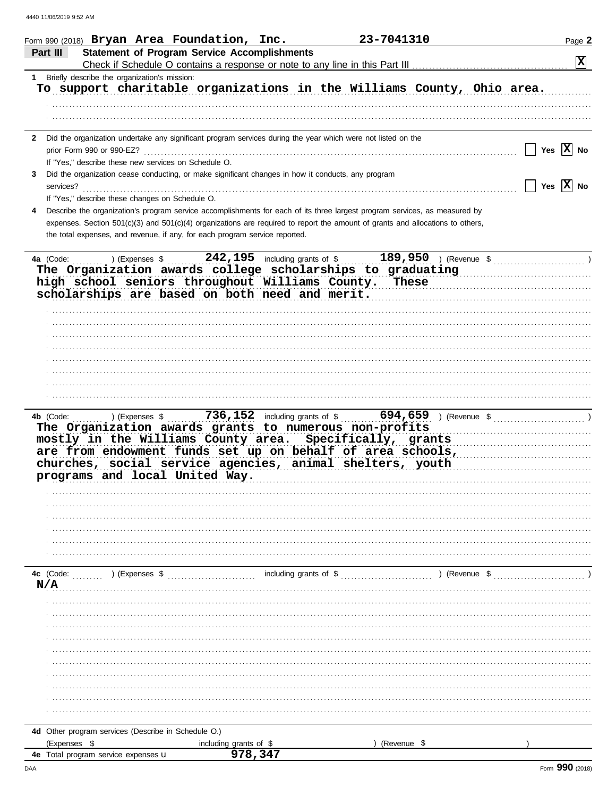| Form 990 (2018) Bryan Area Foundation, Inc.                                                                                                                                                                                                                                                  | 23-7041310                                                 | Page 2         |
|----------------------------------------------------------------------------------------------------------------------------------------------------------------------------------------------------------------------------------------------------------------------------------------------|------------------------------------------------------------|----------------|
| <b>Statement of Program Service Accomplishments</b><br>Part III                                                                                                                                                                                                                              |                                                            | $ \mathbf{x} $ |
|                                                                                                                                                                                                                                                                                              |                                                            |                |
| 1 Briefly describe the organization's mission:<br>To support charitable organizations in the Williams County, Ohio area.                                                                                                                                                                     |                                                            |                |
|                                                                                                                                                                                                                                                                                              |                                                            |                |
|                                                                                                                                                                                                                                                                                              |                                                            |                |
| 2 Did the organization undertake any significant program services during the year which were not listed on the                                                                                                                                                                               |                                                            |                |
| prior Form 990 or 990-EZ?                                                                                                                                                                                                                                                                    |                                                            | Yes $ X $ No   |
| If "Yes," describe these new services on Schedule O.                                                                                                                                                                                                                                         |                                                            |                |
| Did the organization cease conducting, or make significant changes in how it conducts, any program<br>3                                                                                                                                                                                      |                                                            | Yes $ X $ No   |
| services?<br>If "Yes," describe these changes on Schedule O.                                                                                                                                                                                                                                 |                                                            |                |
| Describe the organization's program service accomplishments for each of its three largest program services, as measured by                                                                                                                                                                   |                                                            |                |
| expenses. Section 501(c)(3) and 501(c)(4) organizations are required to report the amount of grants and allocations to others,                                                                                                                                                               |                                                            |                |
| the total expenses, and revenue, if any, for each program service reported.                                                                                                                                                                                                                  |                                                            |                |
|                                                                                                                                                                                                                                                                                              |                                                            |                |
| 4a (Code:<br>$)$ (Expenses $\frac{1}{2}$<br>The Organization awards college scholarships to graduating<br>high school seniors throughout Williams County. These<br>scholarships are based on both need and merit.                                                                            | 242, 195 including grants of \$<br>$189,950$ ) (Revenue \$ |                |
|                                                                                                                                                                                                                                                                                              |                                                            |                |
|                                                                                                                                                                                                                                                                                              |                                                            |                |
|                                                                                                                                                                                                                                                                                              |                                                            |                |
|                                                                                                                                                                                                                                                                                              |                                                            |                |
|                                                                                                                                                                                                                                                                                              |                                                            |                |
|                                                                                                                                                                                                                                                                                              |                                                            |                |
| 4b (Code:<br>The Organization awards grants to numerous non-profits<br>mostly in the Williams County area. Specifically, grants<br>are from endowment funds set up on behalf of area schools,<br>churches, social service agencies, animal shelters, youth<br>programs and local United Way. |                                                            |                |
|                                                                                                                                                                                                                                                                                              |                                                            |                |
|                                                                                                                                                                                                                                                                                              |                                                            |                |
|                                                                                                                                                                                                                                                                                              |                                                            |                |
| 4c (Code:<br>) (Expenses \$                                                                                                                                                                                                                                                                  | including grants of \$<br>) (Revenue \$                    |                |
| N/A                                                                                                                                                                                                                                                                                          |                                                            |                |
|                                                                                                                                                                                                                                                                                              |                                                            |                |
|                                                                                                                                                                                                                                                                                              |                                                            |                |
|                                                                                                                                                                                                                                                                                              |                                                            |                |
|                                                                                                                                                                                                                                                                                              |                                                            |                |
|                                                                                                                                                                                                                                                                                              |                                                            |                |
|                                                                                                                                                                                                                                                                                              |                                                            |                |
|                                                                                                                                                                                                                                                                                              |                                                            |                |
|                                                                                                                                                                                                                                                                                              |                                                            |                |
|                                                                                                                                                                                                                                                                                              |                                                            |                |
|                                                                                                                                                                                                                                                                                              |                                                            |                |
| 4d Other program services (Describe in Schedule O.)                                                                                                                                                                                                                                          |                                                            |                |
| (Expenses \$<br>including grants of \$                                                                                                                                                                                                                                                       | (Revenue \$                                                |                |
| 978,347<br><b>4e</b> Total program service expenses <b>u</b>                                                                                                                                                                                                                                 |                                                            |                |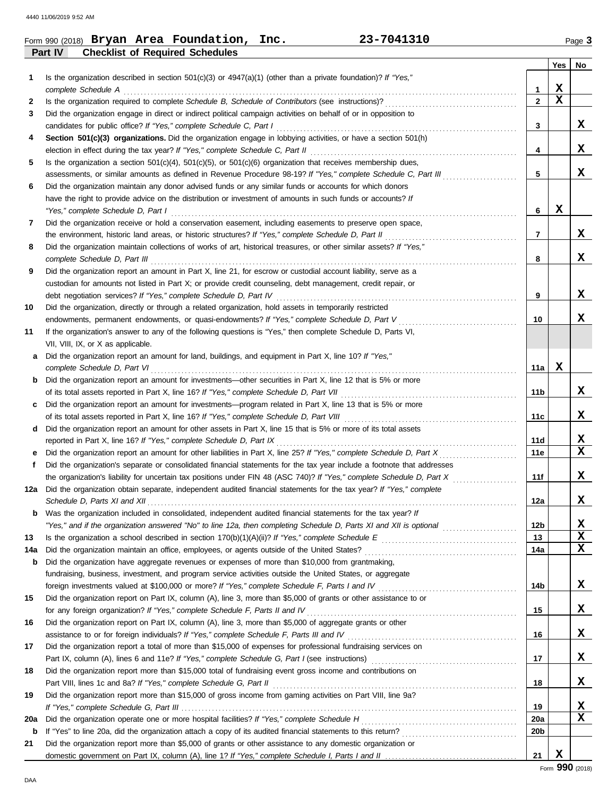|         |  | Form 990 (2018) $Bryan$ Area Foundation, $\Box$ | Inc. | 23-7041310 | Page <b>3</b> |
|---------|--|-------------------------------------------------|------|------------|---------------|
| Part IV |  | <b>Checklist of Required Schedules</b>          |      |            |               |

|     |                                                                                                                                                                                                                        |              | Yes | No          |
|-----|------------------------------------------------------------------------------------------------------------------------------------------------------------------------------------------------------------------------|--------------|-----|-------------|
| 1   | Is the organization described in section $501(c)(3)$ or $4947(a)(1)$ (other than a private foundation)? If "Yes,"                                                                                                      |              |     |             |
|     | complete Schedule A                                                                                                                                                                                                    | 1            | X   |             |
| 2   |                                                                                                                                                                                                                        | $\mathbf{2}$ | X   |             |
| 3   | Did the organization engage in direct or indirect political campaign activities on behalf of or in opposition to                                                                                                       |              |     |             |
|     | candidates for public office? If "Yes," complete Schedule C, Part I                                                                                                                                                    | 3            |     | x           |
| 4   | Section 501(c)(3) organizations. Did the organization engage in lobbying activities, or have a section 501(h)                                                                                                          |              |     |             |
|     |                                                                                                                                                                                                                        | 4            |     | x           |
| 5   | Is the organization a section $501(c)(4)$ , $501(c)(5)$ , or $501(c)(6)$ organization that receives membership dues,                                                                                                   |              |     |             |
|     | assessments, or similar amounts as defined in Revenue Procedure 98-19? If "Yes," complete Schedule C, Part III                                                                                                         | 5            |     | X           |
| 6   | Did the organization maintain any donor advised funds or any similar funds or accounts for which donors<br>have the right to provide advice on the distribution or investment of amounts in such funds or accounts? If |              |     |             |
|     | "Yes," complete Schedule D, Part I                                                                                                                                                                                     | 6            | х   |             |
| 7   | Did the organization receive or hold a conservation easement, including easements to preserve open space,                                                                                                              |              |     |             |
|     |                                                                                                                                                                                                                        | 7            |     | X.          |
| 8   | Did the organization maintain collections of works of art, historical treasures, or other similar assets? If "Yes,"                                                                                                    |              |     |             |
|     | complete Schedule D, Part III                                                                                                                                                                                          | 8            |     | x           |
| 9   | Did the organization report an amount in Part X, line 21, for escrow or custodial account liability, serve as a                                                                                                        |              |     |             |
|     | custodian for amounts not listed in Part X; or provide credit counseling, debt management, credit repair, or                                                                                                           |              |     |             |
|     | debt negotiation services? If "Yes," complete Schedule D, Part IV                                                                                                                                                      | 9            |     | X.          |
| 10  | Did the organization, directly or through a related organization, hold assets in temporarily restricted                                                                                                                |              |     |             |
|     | endowments, permanent endowments, or quasi-endowments? If "Yes," complete Schedule D, Part V                                                                                                                           | 10           |     | X           |
| 11  | If the organization's answer to any of the following questions is "Yes," then complete Schedule D, Parts VI,                                                                                                           |              |     |             |
|     | VII, VIII, IX, or X as applicable.                                                                                                                                                                                     |              |     |             |
| a   | Did the organization report an amount for land, buildings, and equipment in Part X, line 10? If "Yes,"                                                                                                                 |              |     |             |
|     | complete Schedule D, Part VI                                                                                                                                                                                           | 11a          | x   |             |
| b   | Did the organization report an amount for investments—other securities in Part X, line 12 that is 5% or more                                                                                                           |              |     |             |
|     | of its total assets reported in Part X, line 16? If "Yes," complete Schedule D, Part VII                                                                                                                               | 11b          |     | X.          |
| c   | Did the organization report an amount for investments—program related in Part X, line 13 that is 5% or more                                                                                                            |              |     | X           |
|     | Did the organization report an amount for other assets in Part X, line 15 that is 5% or more of its total assets                                                                                                       | 11c          |     |             |
| d   | reported in Part X, line 16? If "Yes," complete Schedule D, Part IX                                                                                                                                                    | 11d          |     | x           |
| е   | Did the organization report an amount for other liabilities in Part X, line 25? If "Yes," complete Schedule D, Part X                                                                                                  | 11e          |     | х           |
| f.  | Did the organization's separate or consolidated financial statements for the tax year include a footnote that addresses                                                                                                |              |     |             |
|     | the organization's liability for uncertain tax positions under FIN 48 (ASC 740)? If "Yes," complete Schedule D, Part X                                                                                                 | 11f          |     | x           |
| 12a | Did the organization obtain separate, independent audited financial statements for the tax year? If "Yes," complete                                                                                                    |              |     |             |
|     |                                                                                                                                                                                                                        | 12a          |     | x           |
| b   | Was the organization included in consolidated, independent audited financial statements for the tax year? If                                                                                                           |              |     |             |
|     |                                                                                                                                                                                                                        | 12b          |     | x           |
| 13  |                                                                                                                                                                                                                        | 13           |     | $\mathbf x$ |
| 14a | Did the organization maintain an office, employees, or agents outside of the United States?                                                                                                                            | 14a          |     | x           |
| b   | Did the organization have aggregate revenues or expenses of more than \$10,000 from grantmaking,                                                                                                                       |              |     |             |
|     | fundraising, business, investment, and program service activities outside the United States, or aggregate                                                                                                              |              |     |             |
|     | foreign investments valued at \$100,000 or more? If "Yes," complete Schedule F, Parts I and IV [[[[[[[[[[[[[[[                                                                                                         | 14b          |     | X           |
| 15  | Did the organization report on Part IX, column (A), line 3, more than \$5,000 of grants or other assistance to or                                                                                                      |              |     | X           |
|     | for any foreign organization? If "Yes," complete Schedule F, Parts II and IV<br>Did the organization report on Part IX, column (A), line 3, more than \$5,000 of aggregate grants or other                             | 15           |     |             |
| 16  | assistance to or for foreign individuals? If "Yes," complete Schedule F, Parts III and IV                                                                                                                              | 16           |     | X           |
| 17  | Did the organization report a total of more than \$15,000 of expenses for professional fundraising services on                                                                                                         |              |     |             |
|     |                                                                                                                                                                                                                        | 17           |     | X           |
| 18  | Did the organization report more than \$15,000 total of fundraising event gross income and contributions on                                                                                                            |              |     |             |
|     |                                                                                                                                                                                                                        | 18           |     | X           |
| 19  | Did the organization report more than \$15,000 of gross income from gaming activities on Part VIII, line 9a?                                                                                                           |              |     |             |
|     |                                                                                                                                                                                                                        | 19           |     | x           |
| 20a |                                                                                                                                                                                                                        | <b>20a</b>   |     | х           |
| b   |                                                                                                                                                                                                                        | 20b          |     |             |
| 21  | Did the organization report more than \$5,000 of grants or other assistance to any domestic organization or                                                                                                            |              |     |             |
|     |                                                                                                                                                                                                                        | 21           | X   |             |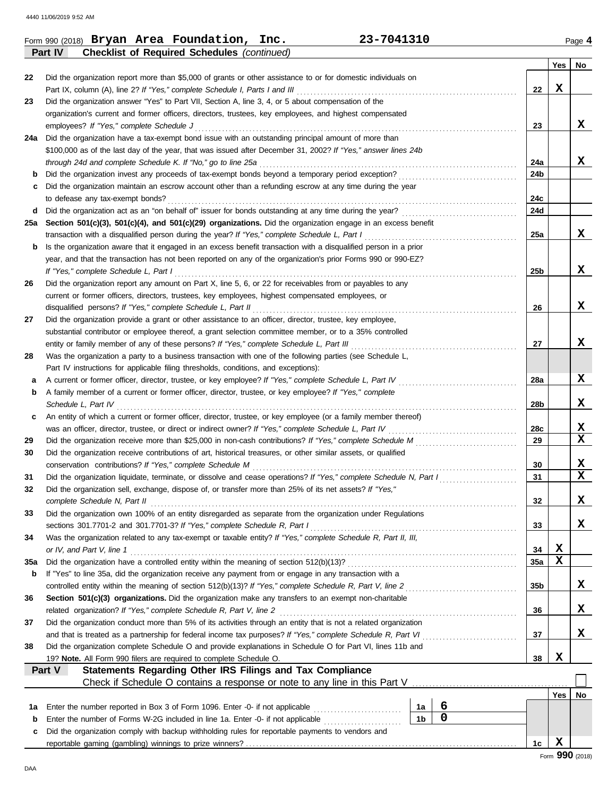|     | Page 4                                                      |
|-----|-------------------------------------------------------------|
|     |                                                             |
| Yes | No                                                          |
| X   |                                                             |
|     |                                                             |
|     |                                                             |
|     | x                                                           |
|     |                                                             |
|     |                                                             |
|     | x                                                           |
|     |                                                             |
|     |                                                             |
|     |                                                             |
|     |                                                             |
|     |                                                             |
|     | X                                                           |
|     |                                                             |
|     |                                                             |
|     | x                                                           |
|     |                                                             |
|     |                                                             |
|     | X                                                           |
|     |                                                             |
|     | x                                                           |
|     |                                                             |
|     |                                                             |
|     | X                                                           |
|     |                                                             |
|     | X                                                           |
|     |                                                             |
|     | $\mathbf{x}$                                                |
|     | $\overline{\mathbf{x}}$                                     |
|     |                                                             |
|     | X                                                           |
|     | $\overline{\mathbf{x}}$                                     |
|     |                                                             |
|     | x                                                           |
|     |                                                             |
|     | x                                                           |
|     |                                                             |
| X   |                                                             |
|     |                                                             |
|     |                                                             |
|     | x                                                           |
|     | X                                                           |
|     |                                                             |
|     | x                                                           |
|     |                                                             |
|     |                                                             |
|     |                                                             |
|     |                                                             |
|     | No                                                          |
|     |                                                             |
|     |                                                             |
|     |                                                             |
|     |                                                             |
|     | $\mathbf x$<br>X<br>Yes<br>$\mathbf x$<br>$Form$ 990 (2018) |

DAA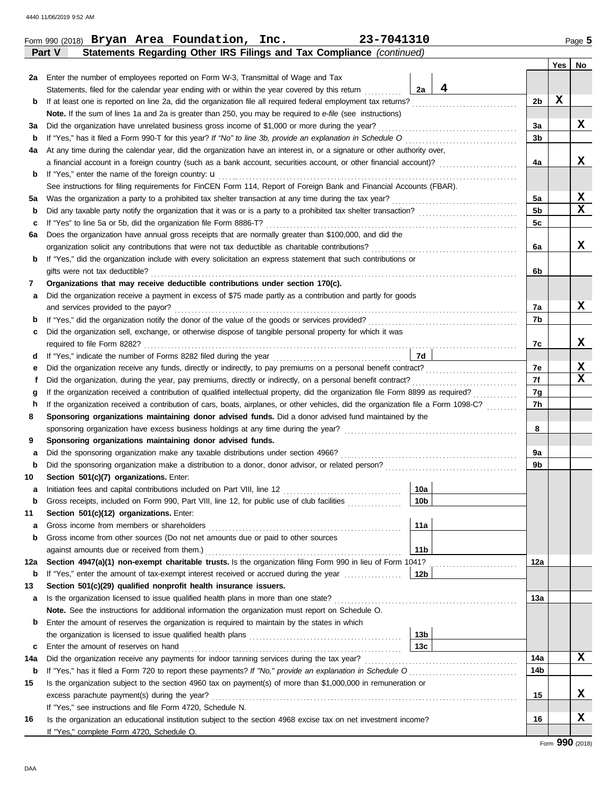DAA

| Statements, filed for the calendar year ending with or within the year covered by this return<br>Note. If the sum of lines 1a and 2a is greater than 250, you may be required to e-file (see instructions)<br>Did the organization have unrelated business gross income of \$1,000 or more during the year?<br>At any time during the calendar year, did the organization have an interest in, or a signature or other authority over,<br>a financial account in a foreign country (such as a bank account, securities account, or other financial account)?<br>If "Yes," enter the name of the foreign country: <b>u</b><br>See instructions for filing requirements for FinCEN Form 114, Report of Foreign Bank and Financial Accounts (FBAR). | 4<br>2a                                                    | 2b<br>3a                                                                                                                                                                                                                                                                      | х        |                 |
|--------------------------------------------------------------------------------------------------------------------------------------------------------------------------------------------------------------------------------------------------------------------------------------------------------------------------------------------------------------------------------------------------------------------------------------------------------------------------------------------------------------------------------------------------------------------------------------------------------------------------------------------------------------------------------------------------------------------------------------------------|------------------------------------------------------------|-------------------------------------------------------------------------------------------------------------------------------------------------------------------------------------------------------------------------------------------------------------------------------|----------|-----------------|
|                                                                                                                                                                                                                                                                                                                                                                                                                                                                                                                                                                                                                                                                                                                                                  |                                                            |                                                                                                                                                                                                                                                                               |          |                 |
|                                                                                                                                                                                                                                                                                                                                                                                                                                                                                                                                                                                                                                                                                                                                                  |                                                            |                                                                                                                                                                                                                                                                               |          |                 |
|                                                                                                                                                                                                                                                                                                                                                                                                                                                                                                                                                                                                                                                                                                                                                  |                                                            |                                                                                                                                                                                                                                                                               |          |                 |
|                                                                                                                                                                                                                                                                                                                                                                                                                                                                                                                                                                                                                                                                                                                                                  |                                                            |                                                                                                                                                                                                                                                                               |          | X               |
|                                                                                                                                                                                                                                                                                                                                                                                                                                                                                                                                                                                                                                                                                                                                                  |                                                            | 3b                                                                                                                                                                                                                                                                            |          |                 |
|                                                                                                                                                                                                                                                                                                                                                                                                                                                                                                                                                                                                                                                                                                                                                  |                                                            |                                                                                                                                                                                                                                                                               |          |                 |
|                                                                                                                                                                                                                                                                                                                                                                                                                                                                                                                                                                                                                                                                                                                                                  |                                                            | 4a                                                                                                                                                                                                                                                                            |          | x               |
|                                                                                                                                                                                                                                                                                                                                                                                                                                                                                                                                                                                                                                                                                                                                                  |                                                            |                                                                                                                                                                                                                                                                               |          |                 |
|                                                                                                                                                                                                                                                                                                                                                                                                                                                                                                                                                                                                                                                                                                                                                  |                                                            |                                                                                                                                                                                                                                                                               |          |                 |
|                                                                                                                                                                                                                                                                                                                                                                                                                                                                                                                                                                                                                                                                                                                                                  |                                                            | 5a                                                                                                                                                                                                                                                                            |          | X               |
|                                                                                                                                                                                                                                                                                                                                                                                                                                                                                                                                                                                                                                                                                                                                                  |                                                            | 5b                                                                                                                                                                                                                                                                            |          | X               |
|                                                                                                                                                                                                                                                                                                                                                                                                                                                                                                                                                                                                                                                                                                                                                  |                                                            | 5c                                                                                                                                                                                                                                                                            |          |                 |
| Does the organization have annual gross receipts that are normally greater than \$100,000, and did the                                                                                                                                                                                                                                                                                                                                                                                                                                                                                                                                                                                                                                           |                                                            |                                                                                                                                                                                                                                                                               |          |                 |
|                                                                                                                                                                                                                                                                                                                                                                                                                                                                                                                                                                                                                                                                                                                                                  |                                                            | 6a                                                                                                                                                                                                                                                                            |          | X               |
| If "Yes," did the organization include with every solicitation an express statement that such contributions or                                                                                                                                                                                                                                                                                                                                                                                                                                                                                                                                                                                                                                   |                                                            |                                                                                                                                                                                                                                                                               |          |                 |
| gifts were not tax deductible?                                                                                                                                                                                                                                                                                                                                                                                                                                                                                                                                                                                                                                                                                                                   |                                                            | 6b                                                                                                                                                                                                                                                                            |          |                 |
| Organizations that may receive deductible contributions under section 170(c).                                                                                                                                                                                                                                                                                                                                                                                                                                                                                                                                                                                                                                                                    |                                                            |                                                                                                                                                                                                                                                                               |          |                 |
| Did the organization receive a payment in excess of \$75 made partly as a contribution and partly for goods                                                                                                                                                                                                                                                                                                                                                                                                                                                                                                                                                                                                                                      |                                                            |                                                                                                                                                                                                                                                                               |          |                 |
| and services provided to the payor?                                                                                                                                                                                                                                                                                                                                                                                                                                                                                                                                                                                                                                                                                                              |                                                            | 7а                                                                                                                                                                                                                                                                            |          | X               |
|                                                                                                                                                                                                                                                                                                                                                                                                                                                                                                                                                                                                                                                                                                                                                  |                                                            | 7b                                                                                                                                                                                                                                                                            |          |                 |
| Did the organization sell, exchange, or otherwise dispose of tangible personal property for which it was                                                                                                                                                                                                                                                                                                                                                                                                                                                                                                                                                                                                                                         |                                                            |                                                                                                                                                                                                                                                                               |          |                 |
|                                                                                                                                                                                                                                                                                                                                                                                                                                                                                                                                                                                                                                                                                                                                                  |                                                            | 7с                                                                                                                                                                                                                                                                            |          | X               |
|                                                                                                                                                                                                                                                                                                                                                                                                                                                                                                                                                                                                                                                                                                                                                  | 7d                                                         |                                                                                                                                                                                                                                                                               |          |                 |
| Did the organization receive any funds, directly or indirectly, to pay premiums on a personal benefit contract?                                                                                                                                                                                                                                                                                                                                                                                                                                                                                                                                                                                                                                  |                                                            | 7e                                                                                                                                                                                                                                                                            |          | x               |
|                                                                                                                                                                                                                                                                                                                                                                                                                                                                                                                                                                                                                                                                                                                                                  |                                                            | 7f                                                                                                                                                                                                                                                                            |          | $\mathbf{x}$    |
| If the organization received a contribution of qualified intellectual property, did the organization file Form 8899 as required?                                                                                                                                                                                                                                                                                                                                                                                                                                                                                                                                                                                                                 |                                                            | 7g                                                                                                                                                                                                                                                                            |          |                 |
| If the organization received a contribution of cars, boats, airplanes, or other vehicles, did the organization file a Form 1098-C?                                                                                                                                                                                                                                                                                                                                                                                                                                                                                                                                                                                                               |                                                            | 7h                                                                                                                                                                                                                                                                            |          |                 |
| Sponsoring organizations maintaining donor advised funds. Did a donor advised fund maintained by the                                                                                                                                                                                                                                                                                                                                                                                                                                                                                                                                                                                                                                             |                                                            |                                                                                                                                                                                                                                                                               |          |                 |
| sponsoring organization have excess business holdings at any time during the year?                                                                                                                                                                                                                                                                                                                                                                                                                                                                                                                                                                                                                                                               |                                                            | 8                                                                                                                                                                                                                                                                             |          |                 |
| Sponsoring organizations maintaining donor advised funds.                                                                                                                                                                                                                                                                                                                                                                                                                                                                                                                                                                                                                                                                                        |                                                            |                                                                                                                                                                                                                                                                               |          |                 |
| Did the sponsoring organization make any taxable distributions under section 4966?                                                                                                                                                                                                                                                                                                                                                                                                                                                                                                                                                                                                                                                               |                                                            | 9a                                                                                                                                                                                                                                                                            |          |                 |
|                                                                                                                                                                                                                                                                                                                                                                                                                                                                                                                                                                                                                                                                                                                                                  |                                                            | 9b                                                                                                                                                                                                                                                                            |          |                 |
| Section 501(c)(7) organizations. Enter:                                                                                                                                                                                                                                                                                                                                                                                                                                                                                                                                                                                                                                                                                                          |                                                            |                                                                                                                                                                                                                                                                               |          |                 |
|                                                                                                                                                                                                                                                                                                                                                                                                                                                                                                                                                                                                                                                                                                                                                  | 10a                                                        |                                                                                                                                                                                                                                                                               |          |                 |
| Gross receipts, included on Form 990, Part VIII, line 12, for public use of club facilities                                                                                                                                                                                                                                                                                                                                                                                                                                                                                                                                                                                                                                                      | 10 <sub>b</sub>                                            |                                                                                                                                                                                                                                                                               |          |                 |
| Section 501(c)(12) organizations. Enter:                                                                                                                                                                                                                                                                                                                                                                                                                                                                                                                                                                                                                                                                                                         |                                                            |                                                                                                                                                                                                                                                                               |          |                 |
| Gross income from members or shareholders                                                                                                                                                                                                                                                                                                                                                                                                                                                                                                                                                                                                                                                                                                        | 11a                                                        |                                                                                                                                                                                                                                                                               |          |                 |
| Gross income from other sources (Do not net amounts due or paid to other sources                                                                                                                                                                                                                                                                                                                                                                                                                                                                                                                                                                                                                                                                 |                                                            |                                                                                                                                                                                                                                                                               |          |                 |
| against amounts due or received from them.)<br>Section 4947(a)(1) non-exempt charitable trusts. Is the organization filing Form 990 in lieu of Form 1041?                                                                                                                                                                                                                                                                                                                                                                                                                                                                                                                                                                                        | 11b                                                        | 12a                                                                                                                                                                                                                                                                           |          |                 |
| If "Yes," enter the amount of tax-exempt interest received or accrued during the year                                                                                                                                                                                                                                                                                                                                                                                                                                                                                                                                                                                                                                                            | 12b                                                        |                                                                                                                                                                                                                                                                               |          |                 |
| Section 501(c)(29) qualified nonprofit health insurance issuers.                                                                                                                                                                                                                                                                                                                                                                                                                                                                                                                                                                                                                                                                                 |                                                            |                                                                                                                                                                                                                                                                               |          |                 |
| Is the organization licensed to issue qualified health plans in more than one state?                                                                                                                                                                                                                                                                                                                                                                                                                                                                                                                                                                                                                                                             |                                                            | 13а                                                                                                                                                                                                                                                                           |          |                 |
| Note. See the instructions for additional information the organization must report on Schedule O.                                                                                                                                                                                                                                                                                                                                                                                                                                                                                                                                                                                                                                                |                                                            |                                                                                                                                                                                                                                                                               |          |                 |
| Enter the amount of reserves the organization is required to maintain by the states in which                                                                                                                                                                                                                                                                                                                                                                                                                                                                                                                                                                                                                                                     |                                                            |                                                                                                                                                                                                                                                                               |          |                 |
|                                                                                                                                                                                                                                                                                                                                                                                                                                                                                                                                                                                                                                                                                                                                                  | 13b                                                        |                                                                                                                                                                                                                                                                               |          |                 |
| Enter the amount of reserves on hand                                                                                                                                                                                                                                                                                                                                                                                                                                                                                                                                                                                                                                                                                                             | 13с                                                        |                                                                                                                                                                                                                                                                               |          |                 |
| Did the organization receive any payments for indoor tanning services during the tax year?                                                                                                                                                                                                                                                                                                                                                                                                                                                                                                                                                                                                                                                       |                                                            | 14a                                                                                                                                                                                                                                                                           |          | x               |
|                                                                                                                                                                                                                                                                                                                                                                                                                                                                                                                                                                                                                                                                                                                                                  |                                                            | 14b                                                                                                                                                                                                                                                                           |          |                 |
|                                                                                                                                                                                                                                                                                                                                                                                                                                                                                                                                                                                                                                                                                                                                                  |                                                            |                                                                                                                                                                                                                                                                               |          |                 |
| excess parachute payment(s) during the year?                                                                                                                                                                                                                                                                                                                                                                                                                                                                                                                                                                                                                                                                                                     |                                                            |                                                                                                                                                                                                                                                                               |          | x               |
|                                                                                                                                                                                                                                                                                                                                                                                                                                                                                                                                                                                                                                                                                                                                                  |                                                            |                                                                                                                                                                                                                                                                               |          |                 |
|                                                                                                                                                                                                                                                                                                                                                                                                                                                                                                                                                                                                                                                                                                                                                  |                                                            |                                                                                                                                                                                                                                                                               |          | X.              |
|                                                                                                                                                                                                                                                                                                                                                                                                                                                                                                                                                                                                                                                                                                                                                  |                                                            |                                                                                                                                                                                                                                                                               |          |                 |
|                                                                                                                                                                                                                                                                                                                                                                                                                                                                                                                                                                                                                                                                                                                                                  | If "Yes," see instructions and file Form 4720, Schedule N. | Is the organization subject to the section 4960 tax on payment(s) of more than \$1,000,000 in remuneration or<br>Is the organization an educational institution subject to the section 4968 excise tax on net investment income?<br>If "Yes," complete Form 4720, Schedule O. | 15<br>16 | Form 990 (2018) |

**Part V Statements Regarding Other IRS Filings and Tax Compliance** *(continued)*

**Yes No**

Г

|  | Form 990 (2018) Bryan Area Foundation, Inc. | 23-7041310 | Page 5 |
|--|---------------------------------------------|------------|--------|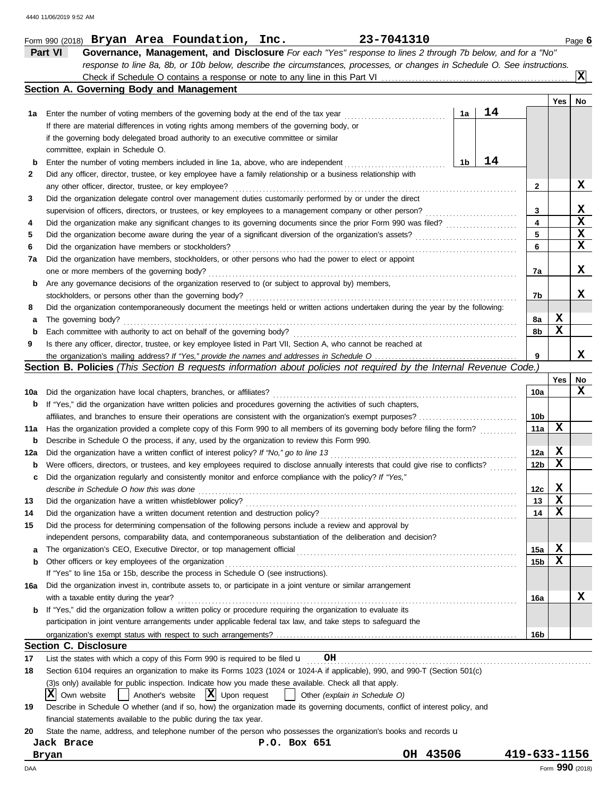|     | 23-7041310<br>Form 990 (2018) Bryan Area Foundation, Inc.                                                                           |                         |             | Page 6      |
|-----|-------------------------------------------------------------------------------------------------------------------------------------|-------------------------|-------------|-------------|
|     | Part VI<br>Governance, Management, and Disclosure For each "Yes" response to lines 2 through 7b below, and for a "No"               |                         |             |             |
|     | response to line 8a, 8b, or 10b below, describe the circumstances, processes, or changes in Schedule O. See instructions.           |                         |             |             |
|     |                                                                                                                                     |                         |             | x           |
|     | Section A. Governing Body and Management                                                                                            |                         |             |             |
|     |                                                                                                                                     |                         | Yes         | No          |
| 1а  | 14<br>1a<br>Enter the number of voting members of the governing body at the end of the tax year                                     |                         |             |             |
|     | If there are material differences in voting rights among members of the governing body, or                                          |                         |             |             |
|     | if the governing body delegated broad authority to an executive committee or similar                                                |                         |             |             |
|     | committee, explain in Schedule O.                                                                                                   |                         |             |             |
| b   | 14<br>1b<br>Enter the number of voting members included in line 1a, above, who are independent                                      |                         |             |             |
| 2   | Did any officer, director, trustee, or key employee have a family relationship or a business relationship with                      |                         |             |             |
|     | any other officer, director, trustee, or key employee?                                                                              | $\mathbf{2}$            |             | x           |
| 3   | Did the organization delegate control over management duties customarily performed by or under the direct                           |                         |             |             |
|     | supervision of officers, directors, or trustees, or key employees to a management company or other person?                          | 3                       |             | X           |
| 4   |                                                                                                                                     | $\overline{\mathbf{4}}$ |             | $\mathbf x$ |
| 5   | Did the organization become aware during the year of a significant diversion of the organization's assets?                          | 5                       |             | X           |
| 6   | Did the organization have members or stockholders?                                                                                  | 6                       |             | X           |
| 7a  | Did the organization have members, stockholders, or other persons who had the power to elect or appoint                             |                         |             |             |
|     | one or more members of the governing body?                                                                                          | 7a                      |             | x           |
| b   | Are any governance decisions of the organization reserved to (or subject to approval by) members,                                   |                         |             |             |
|     | stockholders, or persons other than the governing body?                                                                             | 7b                      |             | x           |
| 8   | Did the organization contemporaneously document the meetings held or written actions undertaken during the year by the following:   |                         |             |             |
| а   | The governing body?                                                                                                                 | 8а                      | X           |             |
| b   |                                                                                                                                     | 8b                      | X           |             |
| 9   | Is there any officer, director, trustee, or key employee listed in Part VII, Section A, who cannot be reached at                    |                         |             |             |
|     |                                                                                                                                     | 9                       |             | x           |
|     | Section B. Policies (This Section B requests information about policies not required by the Internal Revenue Code.)                 |                         |             |             |
|     |                                                                                                                                     |                         | <b>Yes</b>  | No          |
| 10a | Did the organization have local chapters, branches, or affiliates?                                                                  | 10a                     |             | x           |
| b   | If "Yes," did the organization have written policies and procedures governing the activities of such chapters,                      |                         |             |             |
|     |                                                                                                                                     | 10b                     |             |             |
| 11a | Has the organization provided a complete copy of this Form 990 to all members of its governing body before filing the form?         | 11a                     | $\mathbf x$ |             |
| b   | Describe in Schedule O the process, if any, used by the organization to review this Form 990.                                       |                         |             |             |
| 12a | Did the organization have a written conflict of interest policy? If "No," go to line 13                                             | 12a                     | X           |             |
| b   | Were officers, directors, or trustees, and key employees required to disclose annually interests that could give rise to conflicts? | 12b                     | $\mathbf x$ |             |
| c   | Did the organization regularly and consistently monitor and enforce compliance with the policy? If "Yes,"                           |                         |             |             |
|     | describe in Schedule O how this was done                                                                                            | 12c                     | $\mathbf x$ |             |
| 13  | Did the organization have a written whistleblower policy?                                                                           | 13                      | $\mathbf x$ |             |
| 14  | Did the organization have a written document retention and destruction policy?                                                      | 14                      | X           |             |
| 15  | Did the process for determining compensation of the following persons include a review and approval by                              |                         |             |             |
|     | independent persons, comparability data, and contemporaneous substantiation of the deliberation and decision?                       |                         |             |             |
| a   | The organization's CEO, Executive Director, or top management official                                                              | 15a                     | X           |             |
| b   | Other officers or key employees of the organization                                                                                 | 15b                     | $\mathbf x$ |             |
|     | If "Yes" to line 15a or 15b, describe the process in Schedule O (see instructions).                                                 |                         |             |             |
| 16a | Did the organization invest in, contribute assets to, or participate in a joint venture or similar arrangement                      |                         |             |             |
|     | with a taxable entity during the year?                                                                                              | 16a                     |             | X           |
| b   | If "Yes," did the organization follow a written policy or procedure requiring the organization to evaluate its                      |                         |             |             |
|     | participation in joint venture arrangements under applicable federal tax law, and take steps to safeguard the                       |                         |             |             |
|     |                                                                                                                                     | 16b                     |             |             |
|     | <b>Section C. Disclosure</b>                                                                                                        |                         |             |             |
| 17  | List the states with which a copy of this Form 990 is required to be filed $\mathbf u$<br>OH                                        |                         |             |             |
| 18  | Section 6104 requires an organization to make its Forms 1023 (1024 or 1024-A if applicable), 990, and 990-T (Section 501(c)         |                         |             |             |
|     | (3)s only) available for public inspection. Indicate how you made these available. Check all that apply.                            |                         |             |             |
|     | X <br>$ \mathbf{X} $ Upon request<br>Another's website<br>Own website<br>Other (explain in Schedule O)                              |                         |             |             |
| 19  | Describe in Schedule O whether (and if so, how) the organization made its governing documents, conflict of interest policy, and     |                         |             |             |
|     | financial statements available to the public during the tax year.                                                                   |                         |             |             |
| 20  | State the name, address, and telephone number of the person who possesses the organization's books and records u                    |                         |             |             |
|     | Jack Brace<br>P.O. Box 651                                                                                                          |                         |             |             |
|     | 43506<br>OН<br>Bryan                                                                                                                | 419-633-1156            |             |             |

DAA Form **990** (2018)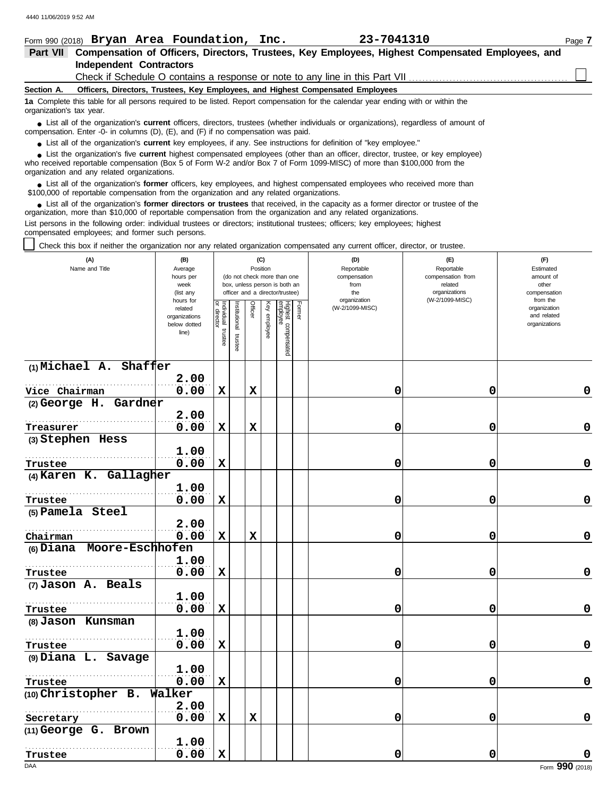|                                                                                                                                                                                                                                                                                                                                                                         | 23-7041310<br>Form 990 (2018) Bryan Area Foundation, Inc.                                                                                                                                                                                                                                                  | Page 7 |  |  |  |  |  |  |
|-------------------------------------------------------------------------------------------------------------------------------------------------------------------------------------------------------------------------------------------------------------------------------------------------------------------------------------------------------------------------|------------------------------------------------------------------------------------------------------------------------------------------------------------------------------------------------------------------------------------------------------------------------------------------------------------|--------|--|--|--|--|--|--|
| Part VII                                                                                                                                                                                                                                                                                                                                                                | Compensation of Officers, Directors, Trustees, Key Employees, Highest Compensated Employees, and                                                                                                                                                                                                           |        |  |  |  |  |  |  |
|                                                                                                                                                                                                                                                                                                                                                                         | <b>Independent Contractors</b>                                                                                                                                                                                                                                                                             |        |  |  |  |  |  |  |
|                                                                                                                                                                                                                                                                                                                                                                         | Check if Schedule O contains a response or note to any line in this Part VII                                                                                                                                                                                                                               |        |  |  |  |  |  |  |
| Section A.                                                                                                                                                                                                                                                                                                                                                              | Officers, Directors, Trustees, Key Employees, and Highest Compensated Employees                                                                                                                                                                                                                            |        |  |  |  |  |  |  |
| organization's tax year.                                                                                                                                                                                                                                                                                                                                                | 1a Complete this table for all persons required to be listed. Report compensation for the calendar year ending with or within the                                                                                                                                                                          |        |  |  |  |  |  |  |
| • List all of the organization's <b>current</b> officers, directors, trustees (whether individuals or organizations), regardless of amount of<br>compensation. Enter -0- in columns $(D)$ , $(E)$ , and $(F)$ if no compensation was paid.<br>• List all of the organization's <b>current</b> key employees, if any. See instructions for definition of "key employee." |                                                                                                                                                                                                                                                                                                            |        |  |  |  |  |  |  |
|                                                                                                                                                                                                                                                                                                                                                                         | • List the organization's five current highest compensated employees (other than an officer, director, trustee, or key employee)<br>who received reportable compensation (Box 5 of Form W-2 and/or Box 7 of Form 1099-MISC) of more than \$100,000 from the<br>organization and any related organizations. |        |  |  |  |  |  |  |

List all of the organization's **former** officers, key employees, and highest compensated employees who received more than • List all of the organization's **former** officers, key employees, and highest compensate \$100,000 of reportable compensation from the organization and any related organizations.

■ List all of the organization's **former directors or trustees** that received, in the capacity as a former director or trustee of the practization more than \$10,000 of reportable compensation from the organization and any organization, more than \$10,000 of reportable compensation from the organization and any related organizations. List persons in the following order: individual trustees or directors; institutional trustees; officers; key employees; highest compensated employees; and former such persons.

Check this box if neither the organization nor any related organization compensated any current officer, director, or trustee.

| (A)<br>Name and Title      | (B)<br>Average<br>hours per<br>week<br>(list any               |                                      | (C)<br>Position<br>(do not check more than one<br>box, unless person is both an<br>officer and a director/trustee) |             |                 |                                           | (D)<br>Reportable<br>compensation<br>from<br>the<br>organization | (E)<br>Reportable<br>compensation from<br>related<br>organizations<br>(W-2/1099-MISC) | (F)<br>Estimated<br>amount of<br>other<br>compensation<br>from the |
|----------------------------|----------------------------------------------------------------|--------------------------------------|--------------------------------------------------------------------------------------------------------------------|-------------|-----------------|-------------------------------------------|------------------------------------------------------------------|---------------------------------------------------------------------------------------|--------------------------------------------------------------------|
|                            | hours for<br>related<br>organizations<br>below dotted<br>line) | Individual<br>or director<br>trustee | nstitutional trustee                                                                                               | Officer     | Ķey<br>employee | Former<br>Highest compensated<br>employee | (W-2/1099-MISC)                                                  |                                                                                       | organization<br>and related<br>organizations                       |
| (1) Michael A. Shaffer     |                                                                |                                      |                                                                                                                    |             |                 |                                           |                                                                  |                                                                                       |                                                                    |
|                            | 2.00                                                           |                                      |                                                                                                                    |             |                 |                                           |                                                                  |                                                                                       |                                                                    |
| Vice Chairman              | 0.00                                                           | $\mathbf x$                          |                                                                                                                    | $\mathbf x$ |                 |                                           | 0                                                                | 0                                                                                     | 0                                                                  |
| (2) George H. Gardner      |                                                                |                                      |                                                                                                                    |             |                 |                                           |                                                                  |                                                                                       |                                                                    |
|                            | 2.00                                                           |                                      |                                                                                                                    |             |                 |                                           |                                                                  |                                                                                       |                                                                    |
| Treasurer                  | 0.00                                                           | $\mathbf x$                          |                                                                                                                    | X           |                 |                                           | 0                                                                | 0                                                                                     | 0                                                                  |
| (3) Stephen Hess           |                                                                |                                      |                                                                                                                    |             |                 |                                           |                                                                  |                                                                                       |                                                                    |
|                            | 1.00                                                           |                                      |                                                                                                                    |             |                 |                                           |                                                                  |                                                                                       |                                                                    |
| Trustee                    | 0.00                                                           | $\mathbf x$                          |                                                                                                                    |             |                 |                                           | 0                                                                | 0                                                                                     | $\mathbf 0$                                                        |
| (4) Karen K. Gallagher     |                                                                |                                      |                                                                                                                    |             |                 |                                           |                                                                  |                                                                                       |                                                                    |
|                            | 1.00                                                           |                                      |                                                                                                                    |             |                 |                                           |                                                                  |                                                                                       |                                                                    |
| Trustee                    | 0.00                                                           | $\mathbf x$                          |                                                                                                                    |             |                 |                                           | 0                                                                | 0                                                                                     | 0                                                                  |
| (5) Pamela Steel           |                                                                |                                      |                                                                                                                    |             |                 |                                           |                                                                  |                                                                                       |                                                                    |
|                            | 2.00                                                           |                                      |                                                                                                                    |             |                 |                                           |                                                                  |                                                                                       |                                                                    |
| Chairman                   | 0.00                                                           | $\mathbf x$                          |                                                                                                                    | $\mathbf x$ |                 |                                           | 0                                                                | 0                                                                                     | 0                                                                  |
| (6) Diana Moore-Eschhofen  |                                                                |                                      |                                                                                                                    |             |                 |                                           |                                                                  |                                                                                       |                                                                    |
|                            | 1.00                                                           |                                      |                                                                                                                    |             |                 |                                           |                                                                  |                                                                                       |                                                                    |
| Trustee                    | 0.00                                                           | $\mathbf x$                          |                                                                                                                    |             |                 |                                           | 0                                                                | 0                                                                                     | 0                                                                  |
| (7) Jason A. Beals         |                                                                |                                      |                                                                                                                    |             |                 |                                           |                                                                  |                                                                                       |                                                                    |
|                            | 1.00                                                           |                                      |                                                                                                                    |             |                 |                                           |                                                                  |                                                                                       |                                                                    |
| Trustee                    | 0.00                                                           | $\mathbf x$                          |                                                                                                                    |             |                 |                                           | 0                                                                | 0                                                                                     | 0                                                                  |
| (8) Jason Kunsman          |                                                                |                                      |                                                                                                                    |             |                 |                                           |                                                                  |                                                                                       |                                                                    |
|                            | 1.00                                                           |                                      |                                                                                                                    |             |                 |                                           |                                                                  |                                                                                       |                                                                    |
| Trustee                    | 0.00                                                           | X                                    |                                                                                                                    |             |                 |                                           | 0                                                                | 0                                                                                     | 0                                                                  |
| (9) Diana L. Savage        |                                                                |                                      |                                                                                                                    |             |                 |                                           |                                                                  |                                                                                       |                                                                    |
|                            | 1.00                                                           |                                      |                                                                                                                    |             |                 |                                           |                                                                  |                                                                                       |                                                                    |
| Trustee                    | 0.00                                                           | $\mathbf x$                          |                                                                                                                    |             |                 |                                           | 0                                                                | 0                                                                                     | 0                                                                  |
| (10) Christopher B. Walker |                                                                |                                      |                                                                                                                    |             |                 |                                           |                                                                  |                                                                                       |                                                                    |
|                            | 2.00                                                           |                                      |                                                                                                                    |             |                 |                                           |                                                                  |                                                                                       |                                                                    |
| Secretary                  | 0.00                                                           | $\mathbf x$                          |                                                                                                                    | $\mathbf x$ |                 |                                           | 0                                                                | 0                                                                                     | 0                                                                  |
| (11) George G. Brown       |                                                                |                                      |                                                                                                                    |             |                 |                                           |                                                                  |                                                                                       |                                                                    |
|                            | 1.00                                                           |                                      |                                                                                                                    |             |                 |                                           |                                                                  |                                                                                       |                                                                    |
| Trustee                    | 0.00                                                           | $\mathbf x$                          |                                                                                                                    |             |                 |                                           | 0                                                                | 0                                                                                     | 0                                                                  |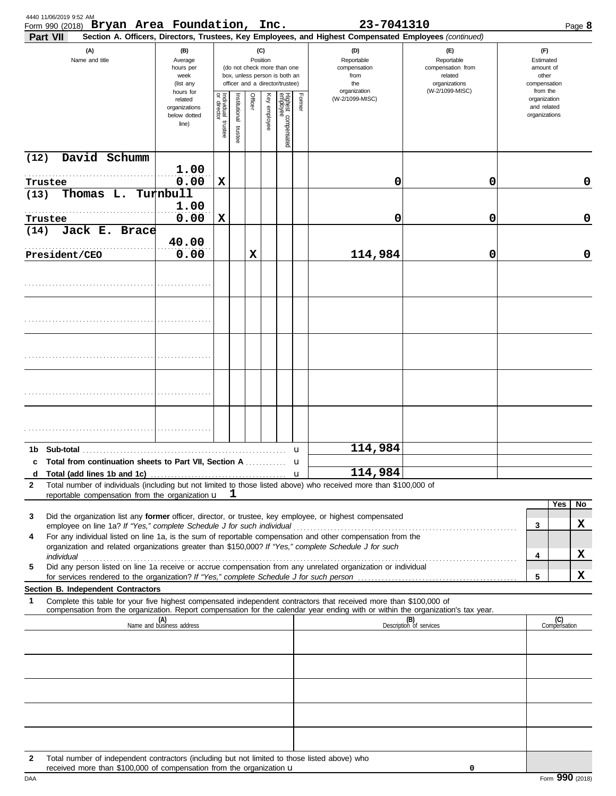| 4440 11/06/2019 9:52 AM<br>Form 990 (2018) Bryan Area Foundation, Inc.                                                                                                                                                    |                                                                |                                                                                                                    |                          |         |              |                                 |                                                  | 23-7041310                      |                                                                                                                                                                              |                                                          | Page 8                |
|---------------------------------------------------------------------------------------------------------------------------------------------------------------------------------------------------------------------------|----------------------------------------------------------------|--------------------------------------------------------------------------------------------------------------------|--------------------------|---------|--------------|---------------------------------|--------------------------------------------------|---------------------------------|------------------------------------------------------------------------------------------------------------------------------------------------------------------------------|----------------------------------------------------------|-----------------------|
| Part VII<br>(A)<br>Name and title                                                                                                                                                                                         | (B)<br>Average<br>hours per<br>week<br>(list any               | (C)<br>Position<br>(do not check more than one<br>box, unless person is both an<br>officer and a director/trustee) |                          |         |              |                                 | (D)<br>Reportable<br>compensation<br>from<br>the |                                 | Section A. Officers, Directors, Trustees, Key Employees, and Highest Compensated Employees (continued)<br>(E)<br>Reportable<br>compensation from<br>related<br>organizations | (F)<br>Estimated<br>amount of<br>other<br>compensation   |                       |
|                                                                                                                                                                                                                           | hours for<br>related<br>organizations<br>below dotted<br>line) | Individual<br>or director<br>trustee                                                                               | Institutional<br>trustee | Officer | Key employee | Highest compensated<br>employee | Former                                           | organization<br>(W-2/1099-MISC) | (W-2/1099-MISC)                                                                                                                                                              | from the<br>organization<br>and related<br>organizations |                       |
| David Schumm<br>(12)                                                                                                                                                                                                      |                                                                |                                                                                                                    |                          |         |              |                                 |                                                  |                                 |                                                                                                                                                                              |                                                          |                       |
| Trustee                                                                                                                                                                                                                   | 1.00<br>0.00                                                   | $\mathbf x$                                                                                                        |                          |         |              |                                 |                                                  | 0                               | 0                                                                                                                                                                            |                                                          | 0                     |
| Thomas L. Turnbull<br>(13)                                                                                                                                                                                                |                                                                |                                                                                                                    |                          |         |              |                                 |                                                  |                                 |                                                                                                                                                                              |                                                          |                       |
| Trustee                                                                                                                                                                                                                   | 1.00<br>0.00                                                   | $\mathbf x$                                                                                                        |                          |         |              |                                 |                                                  | 0                               | 0                                                                                                                                                                            |                                                          | 0                     |
| Jack E. Brace<br>(14)                                                                                                                                                                                                     | 40.00                                                          |                                                                                                                    |                          |         |              |                                 |                                                  |                                 |                                                                                                                                                                              |                                                          |                       |
| President/CEO                                                                                                                                                                                                             | 0.00                                                           |                                                                                                                    |                          | X       |              |                                 |                                                  | 114,984                         | 0                                                                                                                                                                            |                                                          | 0                     |
|                                                                                                                                                                                                                           |                                                                |                                                                                                                    |                          |         |              |                                 |                                                  |                                 |                                                                                                                                                                              |                                                          |                       |
|                                                                                                                                                                                                                           |                                                                |                                                                                                                    |                          |         |              |                                 |                                                  |                                 |                                                                                                                                                                              |                                                          |                       |
|                                                                                                                                                                                                                           |                                                                |                                                                                                                    |                          |         |              |                                 |                                                  |                                 |                                                                                                                                                                              |                                                          |                       |
|                                                                                                                                                                                                                           |                                                                |                                                                                                                    |                          |         |              |                                 |                                                  |                                 |                                                                                                                                                                              |                                                          |                       |
|                                                                                                                                                                                                                           |                                                                |                                                                                                                    |                          |         |              |                                 |                                                  |                                 |                                                                                                                                                                              |                                                          |                       |
|                                                                                                                                                                                                                           |                                                                |                                                                                                                    |                          |         |              |                                 |                                                  |                                 |                                                                                                                                                                              |                                                          |                       |
|                                                                                                                                                                                                                           |                                                                |                                                                                                                    |                          |         |              |                                 | u                                                | 114,984                         |                                                                                                                                                                              |                                                          |                       |
| Total from continuation sheets to Part VII, Section A  u<br>C<br>Total (add lines 1b and 1c)<br>d                                                                                                                         |                                                                |                                                                                                                    |                          |         |              |                                 | $\mathbf{u}$                                     | 114,984                         |                                                                                                                                                                              |                                                          |                       |
| Total number of individuals (including but not limited to those listed above) who received more than \$100,000 of<br>$\mathbf{2}$<br>reportable compensation from the organization u                                      |                                                                |                                                                                                                    | ı.                       |         |              |                                 |                                                  |                                 |                                                                                                                                                                              |                                                          |                       |
| 3<br>Did the organization list any former officer, director, or trustee, key employee, or highest compensated                                                                                                             |                                                                |                                                                                                                    |                          |         |              |                                 |                                                  |                                 |                                                                                                                                                                              |                                                          | Yes<br>$\overline{N}$ |
| employee on line 1a? If "Yes," complete Schedule J for such individual manufactured content to the 1at of the                                                                                                             |                                                                |                                                                                                                    |                          |         |              |                                 |                                                  |                                 |                                                                                                                                                                              | 3                                                        | X                     |
| For any individual listed on line 1a, is the sum of reportable compensation and other compensation from the<br>4<br>organization and related organizations greater than \$150,000? If "Yes," complete Schedule J for such |                                                                |                                                                                                                    |                          |         |              |                                 |                                                  |                                 |                                                                                                                                                                              |                                                          |                       |
| Did any person listed on line 1a receive or accrue compensation from any unrelated organization or individual<br>5                                                                                                        |                                                                |                                                                                                                    |                          |         |              |                                 |                                                  |                                 |                                                                                                                                                                              | 4                                                        | x                     |
| Section B. Independent Contractors                                                                                                                                                                                        |                                                                |                                                                                                                    |                          |         |              |                                 |                                                  |                                 |                                                                                                                                                                              | 5                                                        | x                     |
| Complete this table for your five highest compensated independent contractors that received more than \$100,000 of<br>1                                                                                                   |                                                                |                                                                                                                    |                          |         |              |                                 |                                                  |                                 |                                                                                                                                                                              |                                                          |                       |
| compensation from the organization. Report compensation for the calendar year ending with or within the organization's tax year.<br>(A)<br>Name and business address                                                      |                                                                |                                                                                                                    |                          |         |              |                                 |                                                  | (B)<br>Description of services  |                                                                                                                                                                              | (C)<br>Compensation                                      |                       |
|                                                                                                                                                                                                                           |                                                                |                                                                                                                    |                          |         |              |                                 |                                                  |                                 |                                                                                                                                                                              |                                                          |                       |
|                                                                                                                                                                                                                           |                                                                |                                                                                                                    |                          |         |              |                                 |                                                  |                                 |                                                                                                                                                                              |                                                          |                       |
|                                                                                                                                                                                                                           |                                                                |                                                                                                                    |                          |         |              |                                 |                                                  |                                 |                                                                                                                                                                              |                                                          |                       |
|                                                                                                                                                                                                                           |                                                                |                                                                                                                    |                          |         |              |                                 |                                                  |                                 |                                                                                                                                                                              |                                                          |                       |
|                                                                                                                                                                                                                           |                                                                |                                                                                                                    |                          |         |              |                                 |                                                  |                                 |                                                                                                                                                                              |                                                          |                       |
| Total number of independent contractors (including but not limited to those listed above) who<br>$\mathbf{2}$<br>received more than \$100,000 of compensation from the organization u                                     |                                                                |                                                                                                                    |                          |         |              |                                 |                                                  |                                 | 0                                                                                                                                                                            |                                                          |                       |

| received more than \$100,000 of compensation from the organization u |  |  |  |  |  |
|----------------------------------------------------------------------|--|--|--|--|--|
|                                                                      |  |  |  |  |  |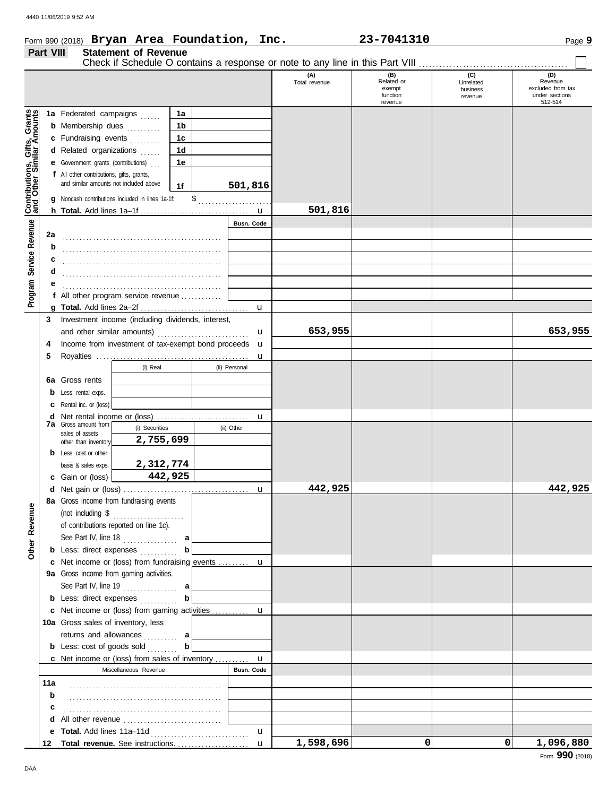| Part VIII                                                |    |                                                                                            | <b>Statement of Revenue</b> |                |                    | Form 990 (2018) $Bryan$ Area Foundation, Inc. | 23-7041310                                         |                                         | Page 9                                                           |
|----------------------------------------------------------|----|--------------------------------------------------------------------------------------------|-----------------------------|----------------|--------------------|-----------------------------------------------|----------------------------------------------------|-----------------------------------------|------------------------------------------------------------------|
|                                                          |    |                                                                                            |                             |                |                    |                                               |                                                    |                                         |                                                                  |
|                                                          |    |                                                                                            |                             |                |                    | (A)<br>Total revenue                          | (B)<br>Related or<br>exempt<br>function<br>revenue | (C)<br>Unrelated<br>business<br>revenue | (D)<br>Revenue<br>excluded from tax<br>under sections<br>512-514 |
|                                                          |    | 1a Federated campaigns                                                                     |                             | 1a             |                    |                                               |                                                    |                                         |                                                                  |
| Grants<br>mounts                                         |    | <b>b</b> Membership dues                                                                   |                             | 1 <sub>b</sub> |                    |                                               |                                                    |                                         |                                                                  |
|                                                          |    | c Fundraising events                                                                       |                             | 1 <sub>c</sub> |                    |                                               |                                                    |                                         |                                                                  |
|                                                          |    | d Related organizations                                                                    |                             | 1 <sub>d</sub> |                    |                                               |                                                    |                                         |                                                                  |
|                                                          |    | <b>e</b> Government grants (contributions)                                                 |                             | 1e             |                    |                                               |                                                    |                                         |                                                                  |
| Contributions, Gifts, Grant<br>and Other Similar Amount. |    | f All other contributions, gifts, grants,<br>and similar amounts not included above        |                             | 1f             | 501,816            |                                               |                                                    |                                         |                                                                  |
|                                                          |    | g Noncash contributions included in lines 1a-1f:                                           |                             |                |                    |                                               |                                                    |                                         |                                                                  |
|                                                          |    |                                                                                            |                             |                |                    | 501,816                                       |                                                    |                                         |                                                                  |
|                                                          |    |                                                                                            |                             |                | Busn. Code         |                                               |                                                    |                                         |                                                                  |
|                                                          | 2a |                                                                                            |                             |                |                    |                                               |                                                    |                                         |                                                                  |
|                                                          | b  |                                                                                            |                             |                |                    |                                               |                                                    |                                         |                                                                  |
|                                                          |    |                                                                                            |                             |                |                    |                                               |                                                    |                                         |                                                                  |
|                                                          | d  |                                                                                            |                             |                |                    |                                               |                                                    |                                         |                                                                  |
|                                                          | е  |                                                                                            |                             |                |                    |                                               |                                                    |                                         |                                                                  |
| Program Service Revenue                                  |    | f All other program service revenue $\ldots$                                               |                             |                |                    |                                               |                                                    |                                         |                                                                  |
|                                                          |    |                                                                                            |                             |                | $\mathbf{u}$       |                                               |                                                    |                                         |                                                                  |
|                                                          | 5  |                                                                                            | (i) Real                    |                | u<br>(ii) Personal |                                               |                                                    |                                         |                                                                  |
|                                                          |    | 6a Gross rents                                                                             |                             |                |                    |                                               |                                                    |                                         |                                                                  |
|                                                          |    | <b>b</b> Less: rental exps.                                                                |                             |                |                    |                                               |                                                    |                                         |                                                                  |
|                                                          |    | <b>c</b> Rental inc. or (loss)                                                             |                             |                | u                  |                                               |                                                    |                                         |                                                                  |
|                                                          |    | <b>7a</b> Gross amount from                                                                | (i) Securities              |                | (ii) Other         |                                               |                                                    |                                         |                                                                  |
|                                                          |    | sales of assets<br>other than inventory                                                    | 2,755,699                   |                |                    |                                               |                                                    |                                         |                                                                  |
|                                                          |    | <b>b</b> Less: cost or other                                                               |                             |                |                    |                                               |                                                    |                                         |                                                                  |
|                                                          |    | basis & sales exps.                                                                        | 2,312,774                   |                |                    |                                               |                                                    |                                         |                                                                  |
|                                                          |    | c Gain or (loss)                                                                           |                             | 442,925        |                    |                                               |                                                    |                                         |                                                                  |
|                                                          |    |                                                                                            |                             |                |                    | 442,925                                       |                                                    |                                         | 442,925                                                          |
|                                                          |    | 8a Gross income from fundraising events                                                    |                             |                |                    |                                               |                                                    |                                         |                                                                  |
|                                                          |    | (not including $\$\dots$                                                                   |                             |                |                    |                                               |                                                    |                                         |                                                                  |
|                                                          |    | of contributions reported on line 1c).                                                     |                             |                |                    |                                               |                                                    |                                         |                                                                  |
|                                                          |    | See Part IV, line $18$                                                                     |                             | a              |                    |                                               |                                                    |                                         |                                                                  |
| Other Revenue                                            |    | <b>b</b> Less: direct expenses                                                             |                             | $\mathbf b$    |                    |                                               |                                                    |                                         |                                                                  |
|                                                          |    | c Net income or (loss) from fundraising events  u                                          |                             |                |                    |                                               |                                                    |                                         |                                                                  |
|                                                          |    | 9a Gross income from gaming activities.                                                    |                             |                |                    |                                               |                                                    |                                         |                                                                  |
|                                                          |    | See Part IV, line 19                                                                       |                             | a              |                    |                                               |                                                    |                                         |                                                                  |
|                                                          |    | <b>b</b> Less: direct expenses                                                             |                             | b              |                    |                                               |                                                    |                                         |                                                                  |
|                                                          |    | c Net income or (loss) from gaming activities  u                                           |                             |                |                    |                                               |                                                    |                                         |                                                                  |
|                                                          |    | 10a Gross sales of inventory, less                                                         |                             |                |                    |                                               |                                                    |                                         |                                                                  |
|                                                          |    | returns and allowances                                                                     |                             | a              |                    |                                               |                                                    |                                         |                                                                  |
|                                                          |    |                                                                                            |                             |                |                    |                                               |                                                    |                                         |                                                                  |
|                                                          |    | <b>b</b> Less: cost of goods sold<br><b>c</b> Net income or (loss) from sales of inventory |                             | $\mathbf b$    |                    |                                               |                                                    |                                         |                                                                  |

u

u

**1,598,696 0 0 1,096,880**

**11a b**

> **c** . . . . . . . . . . . . . . . . . . . . . . . . . . . . . . . . . . . . . . . . . . . . . . **d** All other revenue ............................... **e Total.** Add lines 11a–11d . . . . . . . . . . . . . . . . . . . . . . . . . . . . . **Total revenue.** See instructions. . . . . . . . . . . . . . . . . . . . . . **12**

. . . . . . . . . . . . . . . . . . . . . . . . . . . . . . . . . . . . . . . . . . . . . . . . . . . . . . . . . . . . . . . . . . . . . . . . . . . . . . . . . . . . . . . . . . . .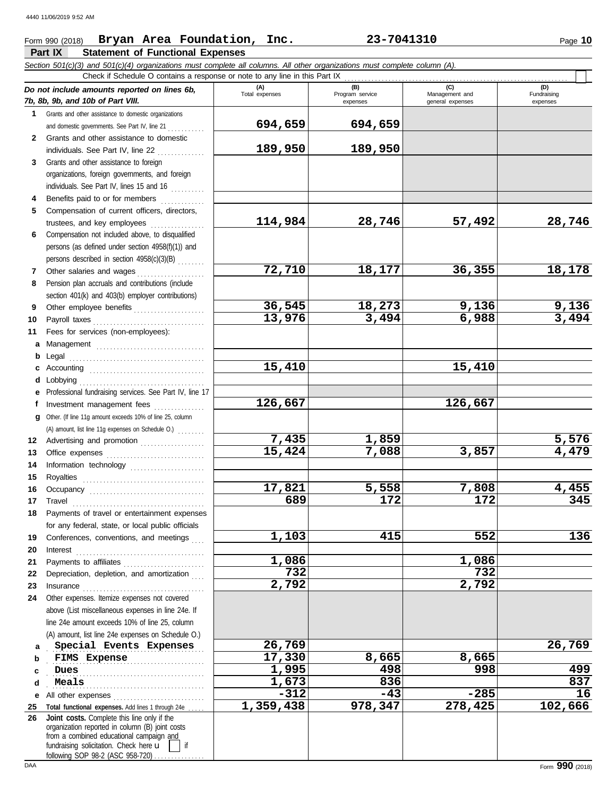## **Part IX Statement of Functional Expenses** Form 990 (2018) Page **10 Bryan Area Foundation, Inc. 23-7041310**

|              | Section 501(c)(3) and 501(c)(4) organizations must complete all columns. All other organizations must complete column (A).<br>Check if Schedule O contains a response or note to any line in this Part IX                                                                                                                                                                                                                                                                                                |                |                             |                                    |                         |
|--------------|----------------------------------------------------------------------------------------------------------------------------------------------------------------------------------------------------------------------------------------------------------------------------------------------------------------------------------------------------------------------------------------------------------------------------------------------------------------------------------------------------------|----------------|-----------------------------|------------------------------------|-------------------------|
|              | Do not include amounts reported on lines 6b,                                                                                                                                                                                                                                                                                                                                                                                                                                                             | (A)            | (B)                         | (C)                                | (D)                     |
|              | 7b, 8b, 9b, and 10b of Part VIII.                                                                                                                                                                                                                                                                                                                                                                                                                                                                        | Total expenses | Program service<br>expenses | Management and<br>general expenses | Fundraising<br>expenses |
| 1            | Grants and other assistance to domestic organizations                                                                                                                                                                                                                                                                                                                                                                                                                                                    |                |                             |                                    |                         |
|              | and domestic governments. See Part IV, line 21                                                                                                                                                                                                                                                                                                                                                                                                                                                           | 694,659        | 694,659                     |                                    |                         |
| $\mathbf{2}$ | Grants and other assistance to domestic                                                                                                                                                                                                                                                                                                                                                                                                                                                                  |                |                             |                                    |                         |
|              | individuals. See Part IV, line 22                                                                                                                                                                                                                                                                                                                                                                                                                                                                        | 189,950        | 189,950                     |                                    |                         |
| 3            | Grants and other assistance to foreign                                                                                                                                                                                                                                                                                                                                                                                                                                                                   |                |                             |                                    |                         |
|              | organizations, foreign governments, and foreign                                                                                                                                                                                                                                                                                                                                                                                                                                                          |                |                             |                                    |                         |
|              | individuals. See Part IV, lines 15 and 16                                                                                                                                                                                                                                                                                                                                                                                                                                                                |                |                             |                                    |                         |
|              | Benefits paid to or for members                                                                                                                                                                                                                                                                                                                                                                                                                                                                          |                |                             |                                    |                         |
| 5            | Compensation of current officers, directors,                                                                                                                                                                                                                                                                                                                                                                                                                                                             |                |                             |                                    |                         |
|              | trustees, and key employees                                                                                                                                                                                                                                                                                                                                                                                                                                                                              | 114,984        | 28,746                      | 57,492                             | 28,746                  |
| 6            | Compensation not included above, to disqualified                                                                                                                                                                                                                                                                                                                                                                                                                                                         |                |                             |                                    |                         |
|              | persons (as defined under section 4958(f)(1)) and                                                                                                                                                                                                                                                                                                                                                                                                                                                        |                |                             |                                    |                         |
|              | persons described in section 4958(c)(3)(B)                                                                                                                                                                                                                                                                                                                                                                                                                                                               |                |                             |                                    |                         |
| 7            | Other salaries and wages                                                                                                                                                                                                                                                                                                                                                                                                                                                                                 | 72,710         | 18,177                      | 36,355                             | 18,178                  |
| 8            | Pension plan accruals and contributions (include                                                                                                                                                                                                                                                                                                                                                                                                                                                         |                |                             |                                    |                         |
|              | section 401(k) and 403(b) employer contributions)                                                                                                                                                                                                                                                                                                                                                                                                                                                        |                |                             |                                    |                         |
| 9            | Other employee benefits                                                                                                                                                                                                                                                                                                                                                                                                                                                                                  | 36,545         | 18,273                      | 9,136                              | 9,136                   |
| 10           |                                                                                                                                                                                                                                                                                                                                                                                                                                                                                                          | 13,976         | 3,494                       | 6,988                              | 3,494                   |
| 11           | Fees for services (non-employees):                                                                                                                                                                                                                                                                                                                                                                                                                                                                       |                |                             |                                    |                         |
| a            |                                                                                                                                                                                                                                                                                                                                                                                                                                                                                                          |                |                             |                                    |                         |
| b            |                                                                                                                                                                                                                                                                                                                                                                                                                                                                                                          |                |                             |                                    |                         |
| c            |                                                                                                                                                                                                                                                                                                                                                                                                                                                                                                          | 15,410         |                             | 15,410                             |                         |
| d            |                                                                                                                                                                                                                                                                                                                                                                                                                                                                                                          |                |                             |                                    |                         |
| е            | Professional fundraising services. See Part IV, line 17                                                                                                                                                                                                                                                                                                                                                                                                                                                  | 126,667        |                             | 126,667                            |                         |
| f            | Investment management fees                                                                                                                                                                                                                                                                                                                                                                                                                                                                               |                |                             |                                    |                         |
| a            | Other. (If line 11g amount exceeds 10% of line 25, column                                                                                                                                                                                                                                                                                                                                                                                                                                                |                |                             |                                    |                         |
|              | (A) amount, list line 11g expenses on Schedule O.)                                                                                                                                                                                                                                                                                                                                                                                                                                                       | 7,435          | 1,859                       |                                    |                         |
| 12           | Advertising and promotion                                                                                                                                                                                                                                                                                                                                                                                                                                                                                | 15,424         | 7,088                       | 3,857                              | 5,576<br>4,479          |
| 13           |                                                                                                                                                                                                                                                                                                                                                                                                                                                                                                          |                |                             |                                    |                         |
| 14<br>15     | Information technology                                                                                                                                                                                                                                                                                                                                                                                                                                                                                   |                |                             |                                    |                         |
| 16           |                                                                                                                                                                                                                                                                                                                                                                                                                                                                                                          | 17,821         | 5,558                       | 7,808                              | 4,455                   |
| 17           |                                                                                                                                                                                                                                                                                                                                                                                                                                                                                                          | 689            | 172                         | 172                                | 345                     |
| 18           | Payments of travel or entertainment expenses                                                                                                                                                                                                                                                                                                                                                                                                                                                             |                |                             |                                    |                         |
|              | for any federal, state, or local public officials                                                                                                                                                                                                                                                                                                                                                                                                                                                        |                |                             |                                    |                         |
| 19           | Conferences, conventions, and meetings                                                                                                                                                                                                                                                                                                                                                                                                                                                                   | 1,103          | 415                         | 552                                | 136                     |
| 20           | Interest                                                                                                                                                                                                                                                                                                                                                                                                                                                                                                 |                |                             |                                    |                         |
| 21           | Payments to affiliates                                                                                                                                                                                                                                                                                                                                                                                                                                                                                   | 1,086          |                             | 1,086                              |                         |
| 22           | Depreciation, depletion, and amortization                                                                                                                                                                                                                                                                                                                                                                                                                                                                | 732            |                             | 732                                |                         |
| 23           | $In \textbf{surance} \begin{tabular}{@{}l@{}} \hline \textbf{unsum} & \textbf{unsum} \\ \hline \textbf{unsum} & \textbf{unsum} \\ \hline \textbf{unsum} & \textbf{unsum} \\ \hline \textbf{unsum} & \textbf{unsum} \\ \hline \textbf{unsum} & \textbf{unsum} \\ \hline \textbf{unsum} & \textbf{unsum} \\ \hline \textbf{unsum} & \textbf{unsum} \\ \hline \textbf{unsum} & \textbf{unsum} \\ \hline \textbf{unsum} & \textbf{unsum} \\ \hline \textbf{unsum} & \textbf{unsum} \\ \hline \textbf{unsum}$ | 2,792          |                             | 2,792                              |                         |
| 24           | Other expenses. Itemize expenses not covered                                                                                                                                                                                                                                                                                                                                                                                                                                                             |                |                             |                                    |                         |
|              | above (List miscellaneous expenses in line 24e. If                                                                                                                                                                                                                                                                                                                                                                                                                                                       |                |                             |                                    |                         |
|              | line 24e amount exceeds 10% of line 25, column                                                                                                                                                                                                                                                                                                                                                                                                                                                           |                |                             |                                    |                         |
|              | (A) amount, list line 24e expenses on Schedule O.)                                                                                                                                                                                                                                                                                                                                                                                                                                                       |                |                             |                                    |                         |
| а            | Special Events Expenses                                                                                                                                                                                                                                                                                                                                                                                                                                                                                  | 26,769         |                             |                                    | 26,769                  |
| b            | <b>FIMS Expense</b>                                                                                                                                                                                                                                                                                                                                                                                                                                                                                      | 17,330         | 8,665                       | 8,665                              |                         |
| c            | Dues                                                                                                                                                                                                                                                                                                                                                                                                                                                                                                     | 1,995          | 498                         | 998                                | 499                     |
| d            | Meals                                                                                                                                                                                                                                                                                                                                                                                                                                                                                                    | 1,673          | 836                         |                                    | 837                     |
| е            | All other expenses                                                                                                                                                                                                                                                                                                                                                                                                                                                                                       | $-312$         | $-43$                       | $-285$                             | 16                      |
| 25           | Total functional expenses. Add lines 1 through 24e                                                                                                                                                                                                                                                                                                                                                                                                                                                       | 1,359,438      | 978,347                     | 278,425                            | 102,666                 |
| 26           | Joint costs. Complete this line only if the<br>organization reported in column (B) joint costs<br>from a combined educational campaign and<br>fundraising solicitation. Check here u<br>if                                                                                                                                                                                                                                                                                                               |                |                             |                                    |                         |
|              | following SOP 98-2 (ASC 958-720)                                                                                                                                                                                                                                                                                                                                                                                                                                                                         |                |                             |                                    |                         |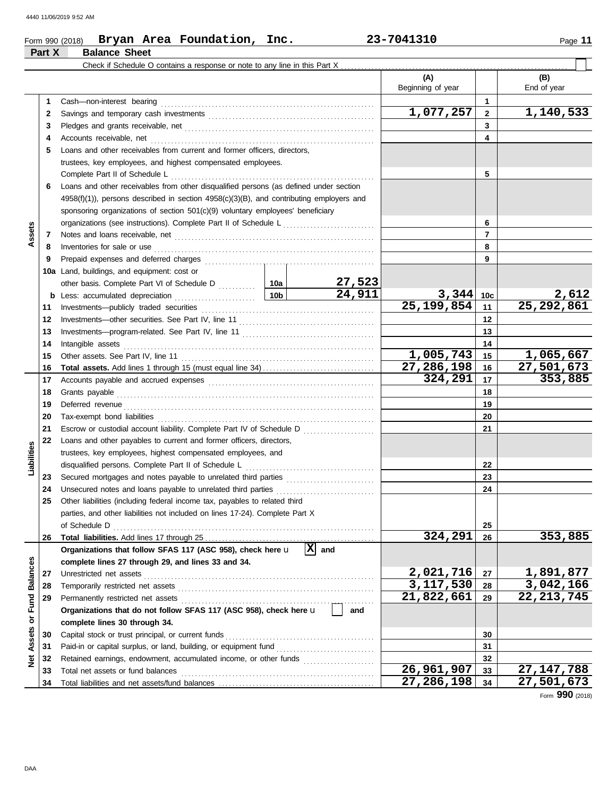## Form 990 (2018) Page **11 Bryan Area Foundation, Inc. 23-7041310 Part X Balance Sheet**

|                 |    | Check if Schedule O contains a response or note to any line in this Part X                                                                                                                                                     |                            |                          |                    |
|-----------------|----|--------------------------------------------------------------------------------------------------------------------------------------------------------------------------------------------------------------------------------|----------------------------|--------------------------|--------------------|
|                 |    |                                                                                                                                                                                                                                | (A)<br>Beginning of year   |                          | (B)<br>End of year |
|                 | 1  |                                                                                                                                                                                                                                |                            | $\mathbf{1}$             |                    |
|                 | 2  |                                                                                                                                                                                                                                | 1,077,257                  | $\overline{2}$           | 1,140,533          |
|                 | 3  |                                                                                                                                                                                                                                |                            | 3                        |                    |
|                 | 4  |                                                                                                                                                                                                                                |                            | 4                        |                    |
|                 | 5  | Loans and other receivables from current and former officers, directors,                                                                                                                                                       |                            |                          |                    |
|                 |    | trustees, key employees, and highest compensated employees.                                                                                                                                                                    |                            |                          |                    |
|                 |    | Complete Part II of Schedule L                                                                                                                                                                                                 |                            | 5                        |                    |
|                 | 6  | Loans and other receivables from other disqualified persons (as defined under section                                                                                                                                          |                            |                          |                    |
|                 |    | $4958(f)(1)$ ), persons described in section $4958(c)(3)(B)$ , and contributing employers and                                                                                                                                  |                            |                          |                    |
|                 |    | sponsoring organizations of section 501(c)(9) voluntary employees' beneficiary                                                                                                                                                 |                            |                          |                    |
|                 |    |                                                                                                                                                                                                                                |                            | 6                        |                    |
| Assets          | 7  |                                                                                                                                                                                                                                |                            | $\overline{\phantom{a}}$ |                    |
|                 | 8  | Inventories for sale or use                                                                                                                                                                                                    |                            | 8                        |                    |
|                 | 9  |                                                                                                                                                                                                                                |                            | 9                        |                    |
|                 |    | 10a Land, buildings, and equipment: cost or                                                                                                                                                                                    |                            |                          |                    |
|                 |    | <u>27,523</u>                                                                                                                                                                                                                  |                            |                          |                    |
|                 | b  | 24,911<br>10 <sub>b</sub><br>Less: accumulated depreciation                                                                                                                                                                    | 3,344                      | 10c                      | 2,612              |
|                 | 11 |                                                                                                                                                                                                                                | $\overline{25,199,854}$    | 11                       | 25, 292, 861       |
|                 | 12 |                                                                                                                                                                                                                                |                            | 12                       |                    |
|                 | 13 |                                                                                                                                                                                                                                |                            | 13                       |                    |
|                 | 14 | Intangible assets                                                                                                                                                                                                              |                            | 14                       |                    |
|                 | 15 |                                                                                                                                                                                                                                | 1,005,743                  | 15                       | 1,065,667          |
|                 | 16 |                                                                                                                                                                                                                                | 27, 286, 198               | 16                       | 27,501,673         |
|                 | 17 |                                                                                                                                                                                                                                | 324,291                    | 17                       | 353,885            |
|                 | 18 | Grants payable                                                                                                                                                                                                                 |                            | 18                       |                    |
|                 | 19 | Deferred revenue contains and all the container and all the container and all the container and all the containing of the containing of the containing of the containing of the containing of the containing of the containing |                            | 19                       |                    |
|                 | 20 |                                                                                                                                                                                                                                |                            | 20                       |                    |
|                 | 21 |                                                                                                                                                                                                                                |                            | 21                       |                    |
|                 | 22 | Loans and other payables to current and former officers, directors,                                                                                                                                                            |                            |                          |                    |
|                 |    | trustees, key employees, highest compensated employees, and                                                                                                                                                                    |                            |                          |                    |
| Liabilities     |    | disqualified persons. Complete Part II of Schedule L                                                                                                                                                                           |                            | 22                       |                    |
|                 | 23 |                                                                                                                                                                                                                                |                            | 23                       |                    |
|                 | 24 |                                                                                                                                                                                                                                |                            | 24                       |                    |
|                 | 25 | Other liabilities (including federal income tax, payables to related third                                                                                                                                                     |                            |                          |                    |
|                 |    | parties, and other liabilities not included on lines 17-24). Complete Part X<br>of Schedule D                                                                                                                                  |                            |                          |                    |
|                 | 26 |                                                                                                                                                                                                                                | 324,291                    | 25<br>26                 | 353,885            |
|                 |    | $ \mathbf{X} $ and<br>Organizations that follow SFAS 117 (ASC 958), check here u                                                                                                                                               |                            |                          |                    |
|                 |    | complete lines 27 through 29, and lines 33 and 34.                                                                                                                                                                             |                            |                          |                    |
|                 | 27 | Unrestricted net assets                                                                                                                                                                                                        | 2,021,716                  | 27                       | 1,891,877          |
| <b>Balances</b> | 28 |                                                                                                                                                                                                                                | 3,117,530                  | 28                       | 3,042,166          |
|                 | 29 |                                                                                                                                                                                                                                | 21,822,661                 | 29                       | 22, 213, 745       |
| Fund            |    | Organizations that do not follow SFAS 117 (ASC 958), check here u<br>and                                                                                                                                                       |                            |                          |                    |
| ŏ               |    | complete lines 30 through 34.                                                                                                                                                                                                  |                            |                          |                    |
|                 | 30 |                                                                                                                                                                                                                                |                            | 30                       |                    |
| Assets          | 31 |                                                                                                                                                                                                                                |                            | 31                       |                    |
| $\frac{1}{2}$   | 32 | Retained earnings, endowment, accumulated income, or other funds                                                                                                                                                               |                            | 32                       |                    |
|                 | 33 | Total net assets or fund balances                                                                                                                                                                                              | $\overline{26}$ , 961, 907 | 33                       | 27, 147, 788       |
|                 | 34 |                                                                                                                                                                                                                                | 27,286,198                 | 34                       | 27,501,673         |

Form **990** (2018)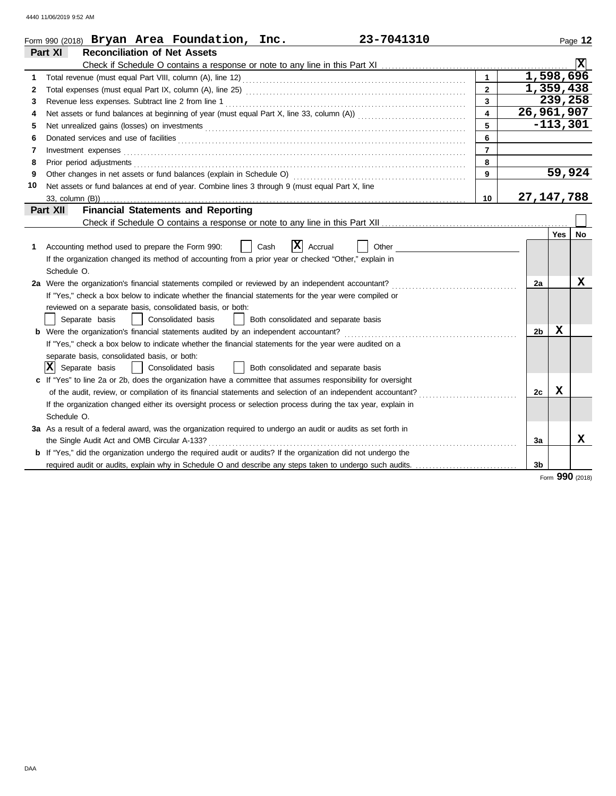|    | 23-7041310<br>Form 990 (2018) Bryan Area Foundation, Inc.                                                                  |                         |                        |             | Page 12  |
|----|----------------------------------------------------------------------------------------------------------------------------|-------------------------|------------------------|-------------|----------|
|    | <b>Reconciliation of Net Assets</b><br>Part XI                                                                             |                         |                        |             |          |
|    |                                                                                                                            |                         |                        |             | <b>X</b> |
| 1  |                                                                                                                            | $\mathbf{1}$            | $\overline{1,598,696}$ |             |          |
| 2  |                                                                                                                            | $\overline{2}$          | 1,359,438              |             |          |
| 3  |                                                                                                                            | $\overline{\mathbf{3}}$ |                        | 239,258     |          |
| 4  |                                                                                                                            | $\overline{4}$          | 26,961,907             |             |          |
| 5  |                                                                                                                            | 5                       |                        | $-113,301$  |          |
| 6  | Donated services and use of facilities <b>constants and interview of the service of the services</b> and use of facilities | 6                       |                        |             |          |
| 7  | Investment expenses <b>constant expenses</b>                                                                               | $\overline{7}$          |                        |             |          |
| 8  |                                                                                                                            | 8                       |                        |             |          |
| 9  |                                                                                                                            | 9                       |                        |             | 59,924   |
| 10 | Net assets or fund balances at end of year. Combine lines 3 through 9 (must equal Part X, line                             |                         |                        |             |          |
|    | 33, column (B))                                                                                                            | 10                      | 27, 147, 788           |             |          |
|    | <b>Financial Statements and Reporting</b><br>Part XII                                                                      |                         |                        |             |          |
|    |                                                                                                                            |                         |                        |             |          |
|    |                                                                                                                            |                         |                        | Yes         | No       |
| 1  | X <br>Accounting method used to prepare the Form 990:<br>Cash<br>Accrual<br>Other                                          |                         |                        |             |          |
|    | If the organization changed its method of accounting from a prior year or checked "Other," explain in                      |                         |                        |             |          |
|    | Schedule O.                                                                                                                |                         |                        |             |          |
|    | 2a Were the organization's financial statements compiled or reviewed by an independent accountant?                         |                         | 2a                     |             | x        |
|    | If "Yes," check a box below to indicate whether the financial statements for the year were compiled or                     |                         |                        |             |          |
|    | reviewed on a separate basis, consolidated basis, or both:                                                                 |                         |                        |             |          |
|    | Separate basis<br>Consolidated basis<br>Both consolidated and separate basis                                               |                         |                        |             |          |
|    | <b>b</b> Were the organization's financial statements audited by an independent accountant?                                |                         | 2 <sub>b</sub>         | $\mathbf x$ |          |
|    | If "Yes," check a box below to indicate whether the financial statements for the year were audited on a                    |                         |                        |             |          |
|    | separate basis, consolidated basis, or both:                                                                               |                         |                        |             |          |
|    | $ X $ Separate basis<br>Consolidated basis<br>  Both consolidated and separate basis                                       |                         |                        |             |          |
|    | c If "Yes" to line 2a or 2b, does the organization have a committee that assumes responsibility for oversight              |                         |                        |             |          |
|    | of the audit, review, or compilation of its financial statements and selection of an independent accountant?               |                         | 2c                     | X           |          |
|    | If the organization changed either its oversight process or selection process during the tax year, explain in              |                         |                        |             |          |
|    | Schedule O.                                                                                                                |                         |                        |             |          |
|    | 3a As a result of a federal award, was the organization required to undergo an audit or audits as set forth in             |                         |                        |             |          |
|    | the Single Audit Act and OMB Circular A-133?                                                                               |                         | За                     |             | x        |
|    | <b>b</b> If "Yes," did the organization undergo the required audit or audits? If the organization did not undergo the      |                         |                        |             |          |
|    | required audit or audits, explain why in Schedule O and describe any steps taken to undergo such audits.                   |                         | 3 <sub>b</sub>         |             |          |
|    |                                                                                                                            |                         |                        | 000         |          |

Form **990** (2018)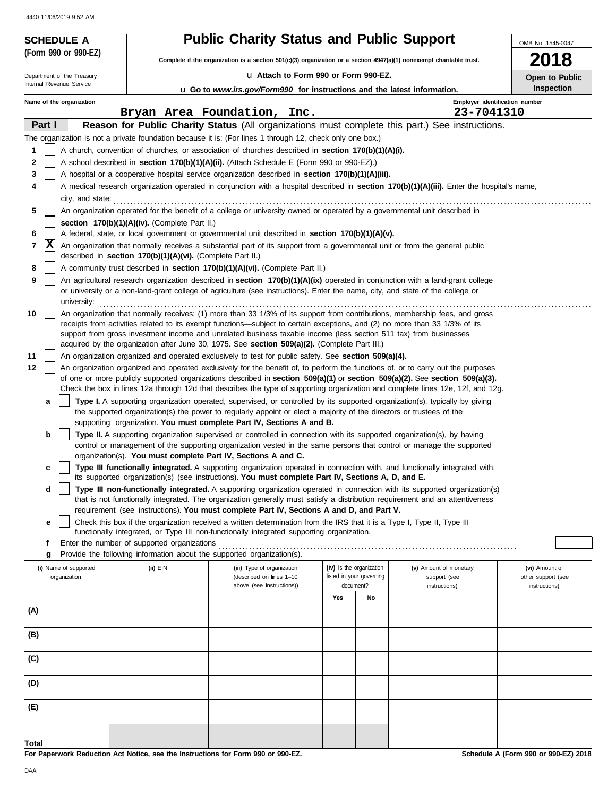| 4440 TH/06/2019 9:52 ANI                               | <b>Public Charity Status and Public Support</b>                                                                                                                                                                                                                                                                                                                                 |                                                                                                                                                                                                                                                                                                                              |                                                      |    |                                        |                                      |  |  |  |
|--------------------------------------------------------|---------------------------------------------------------------------------------------------------------------------------------------------------------------------------------------------------------------------------------------------------------------------------------------------------------------------------------------------------------------------------------|------------------------------------------------------------------------------------------------------------------------------------------------------------------------------------------------------------------------------------------------------------------------------------------------------------------------------|------------------------------------------------------|----|----------------------------------------|--------------------------------------|--|--|--|
| <b>SCHEDULE A</b><br>(Form 990 or 990-EZ)              |                                                                                                                                                                                                                                                                                                                                                                                 |                                                                                                                                                                                                                                                                                                                              |                                                      |    |                                        | OMB No. 1545-0047                    |  |  |  |
|                                                        |                                                                                                                                                                                                                                                                                                                                                                                 | Complete if the organization is a section 501(c)(3) organization or a section $4947(a)(1)$ nonexempt charitable trust.                                                                                                                                                                                                       |                                                      |    |                                        | 018                                  |  |  |  |
| Department of the Treasury<br>Internal Revenue Service |                                                                                                                                                                                                                                                                                                                                                                                 | La Attach to Form 990 or Form 990-EZ.                                                                                                                                                                                                                                                                                        |                                                      |    |                                        | Open to Public                       |  |  |  |
|                                                        |                                                                                                                                                                                                                                                                                                                                                                                 | <b>u</b> Go to www.irs.gov/Form990 for instructions and the latest information.                                                                                                                                                                                                                                              |                                                      |    | Employer identification number         | Inspection                           |  |  |  |
| Name of the organization                               |                                                                                                                                                                                                                                                                                                                                                                                 | Bryan Area Foundation, Inc.                                                                                                                                                                                                                                                                                                  |                                                      |    | 23-7041310                             |                                      |  |  |  |
| Part I                                                 |                                                                                                                                                                                                                                                                                                                                                                                 | Reason for Public Charity Status (All organizations must complete this part.) See instructions.                                                                                                                                                                                                                              |                                                      |    |                                        |                                      |  |  |  |
|                                                        |                                                                                                                                                                                                                                                                                                                                                                                 | The organization is not a private foundation because it is: (For lines 1 through 12, check only one box.)                                                                                                                                                                                                                    |                                                      |    |                                        |                                      |  |  |  |
| 1                                                      |                                                                                                                                                                                                                                                                                                                                                                                 | A church, convention of churches, or association of churches described in <b>section 170(b)(1)(A)(i).</b>                                                                                                                                                                                                                    |                                                      |    |                                        |                                      |  |  |  |
| $\mathbf 2$                                            |                                                                                                                                                                                                                                                                                                                                                                                 | A school described in <b>section 170(b)(1)(A)(ii).</b> (Attach Schedule E (Form 990 or 990-EZ).)                                                                                                                                                                                                                             |                                                      |    |                                        |                                      |  |  |  |
| 3<br>4                                                 |                                                                                                                                                                                                                                                                                                                                                                                 | A hospital or a cooperative hospital service organization described in section 170(b)(1)(A)(iii).                                                                                                                                                                                                                            |                                                      |    |                                        |                                      |  |  |  |
| city, and state:                                       |                                                                                                                                                                                                                                                                                                                                                                                 | A medical research organization operated in conjunction with a hospital described in section 170(b)(1)(A)(iii). Enter the hospital's name,                                                                                                                                                                                   |                                                      |    |                                        |                                      |  |  |  |
| 5                                                      |                                                                                                                                                                                                                                                                                                                                                                                 | An organization operated for the benefit of a college or university owned or operated by a governmental unit described in                                                                                                                                                                                                    |                                                      |    |                                        |                                      |  |  |  |
|                                                        | section 170(b)(1)(A)(iv). (Complete Part II.)                                                                                                                                                                                                                                                                                                                                   |                                                                                                                                                                                                                                                                                                                              |                                                      |    |                                        |                                      |  |  |  |
| 6<br> x                                                |                                                                                                                                                                                                                                                                                                                                                                                 | A federal, state, or local government or governmental unit described in section 170(b)(1)(A)(v).                                                                                                                                                                                                                             |                                                      |    |                                        |                                      |  |  |  |
| 7                                                      | described in section 170(b)(1)(A)(vi). (Complete Part II.)                                                                                                                                                                                                                                                                                                                      | An organization that normally receives a substantial part of its support from a governmental unit or from the general public                                                                                                                                                                                                 |                                                      |    |                                        |                                      |  |  |  |
| 8                                                      |                                                                                                                                                                                                                                                                                                                                                                                 | A community trust described in section 170(b)(1)(A)(vi). (Complete Part II.)                                                                                                                                                                                                                                                 |                                                      |    |                                        |                                      |  |  |  |
| 9<br>university:                                       |                                                                                                                                                                                                                                                                                                                                                                                 | An agricultural research organization described in section 170(b)(1)(A)(ix) operated in conjunction with a land-grant college<br>or university or a non-land-grant college of agriculture (see instructions). Enter the name, city, and state of the college or                                                              |                                                      |    |                                        |                                      |  |  |  |
| 10                                                     | An organization that normally receives: (1) more than 33 1/3% of its support from contributions, membership fees, and gross<br>receipts from activities related to its exempt functions—subject to certain exceptions, and (2) no more than 33 1/3% of its<br>support from gross investment income and unrelated business taxable income (less section 511 tax) from businesses |                                                                                                                                                                                                                                                                                                                              |                                                      |    |                                        |                                      |  |  |  |
|                                                        |                                                                                                                                                                                                                                                                                                                                                                                 | acquired by the organization after June 30, 1975. See <b>section 509(a)(2).</b> (Complete Part III.)                                                                                                                                                                                                                         |                                                      |    |                                        |                                      |  |  |  |
| 11                                                     |                                                                                                                                                                                                                                                                                                                                                                                 | An organization organized and operated exclusively to test for public safety. See section 509(a)(4).                                                                                                                                                                                                                         |                                                      |    |                                        |                                      |  |  |  |
| 12                                                     |                                                                                                                                                                                                                                                                                                                                                                                 | An organization organized and operated exclusively for the benefit of, to perform the functions of, or to carry out the purposes<br>of one or more publicly supported organizations described in section $509(a)(1)$ or section $509(a)(2)$ . See section $509(a)(3)$ .                                                      |                                                      |    |                                        |                                      |  |  |  |
|                                                        |                                                                                                                                                                                                                                                                                                                                                                                 | Check the box in lines 12a through 12d that describes the type of supporting organization and complete lines 12e, 12f, and 12g.                                                                                                                                                                                              |                                                      |    |                                        |                                      |  |  |  |
| a                                                      |                                                                                                                                                                                                                                                                                                                                                                                 | Type I. A supporting organization operated, supervised, or controlled by its supported organization(s), typically by giving<br>the supported organization(s) the power to regularly appoint or elect a majority of the directors or trustees of the<br>supporting organization. You must complete Part IV, Sections A and B. |                                                      |    |                                        |                                      |  |  |  |
| b                                                      |                                                                                                                                                                                                                                                                                                                                                                                 | Type II. A supporting organization supervised or controlled in connection with its supported organization(s), by having                                                                                                                                                                                                      |                                                      |    |                                        |                                      |  |  |  |
|                                                        |                                                                                                                                                                                                                                                                                                                                                                                 | control or management of the supporting organization vested in the same persons that control or manage the supported                                                                                                                                                                                                         |                                                      |    |                                        |                                      |  |  |  |
|                                                        |                                                                                                                                                                                                                                                                                                                                                                                 | organization(s). You must complete Part IV, Sections A and C.<br>Type III functionally integrated. A supporting organization operated in connection with, and functionally integrated with,                                                                                                                                  |                                                      |    |                                        |                                      |  |  |  |
|                                                        |                                                                                                                                                                                                                                                                                                                                                                                 | its supported organization(s) (see instructions). You must complete Part IV, Sections A, D, and E.                                                                                                                                                                                                                           |                                                      |    |                                        |                                      |  |  |  |
| d                                                      |                                                                                                                                                                                                                                                                                                                                                                                 | Type III non-functionally integrated. A supporting organization operated in connection with its supported organization(s)<br>that is not functionally integrated. The organization generally must satisfy a distribution requirement and an attentiveness                                                                    |                                                      |    |                                        |                                      |  |  |  |
|                                                        |                                                                                                                                                                                                                                                                                                                                                                                 | requirement (see instructions). You must complete Part IV, Sections A and D, and Part V.                                                                                                                                                                                                                                     |                                                      |    |                                        |                                      |  |  |  |
| e                                                      |                                                                                                                                                                                                                                                                                                                                                                                 | Check this box if the organization received a written determination from the IRS that it is a Type I, Type II, Type III<br>functionally integrated, or Type III non-functionally integrated supporting organization.                                                                                                         |                                                      |    |                                        |                                      |  |  |  |
| f<br>g                                                 | Enter the number of supported organizations                                                                                                                                                                                                                                                                                                                                     | Provide the following information about the supported organization(s).                                                                                                                                                                                                                                                       |                                                      |    |                                        |                                      |  |  |  |
| (i) Name of supported<br>organization                  | (ii) EIN                                                                                                                                                                                                                                                                                                                                                                        | (iii) Type of organization                                                                                                                                                                                                                                                                                                   | (iv) Is the organization<br>listed in your governing |    | (v) Amount of monetary<br>support (see | (vi) Amount of<br>other support (see |  |  |  |
|                                                        |                                                                                                                                                                                                                                                                                                                                                                                 | (described on lines 1-10<br>above (see instructions))                                                                                                                                                                                                                                                                        | document?                                            |    | instructions)                          | instructions)                        |  |  |  |
|                                                        |                                                                                                                                                                                                                                                                                                                                                                                 |                                                                                                                                                                                                                                                                                                                              | Yes                                                  | No |                                        |                                      |  |  |  |
| (A)                                                    |                                                                                                                                                                                                                                                                                                                                                                                 |                                                                                                                                                                                                                                                                                                                              |                                                      |    |                                        |                                      |  |  |  |
| (B)                                                    |                                                                                                                                                                                                                                                                                                                                                                                 |                                                                                                                                                                                                                                                                                                                              |                                                      |    |                                        |                                      |  |  |  |
| (C)                                                    |                                                                                                                                                                                                                                                                                                                                                                                 |                                                                                                                                                                                                                                                                                                                              |                                                      |    |                                        |                                      |  |  |  |
| (D)                                                    |                                                                                                                                                                                                                                                                                                                                                                                 |                                                                                                                                                                                                                                                                                                                              |                                                      |    |                                        |                                      |  |  |  |
| (E)                                                    |                                                                                                                                                                                                                                                                                                                                                                                 |                                                                                                                                                                                                                                                                                                                              |                                                      |    |                                        |                                      |  |  |  |
| Total                                                  |                                                                                                                                                                                                                                                                                                                                                                                 |                                                                                                                                                                                                                                                                                                                              |                                                      |    |                                        |                                      |  |  |  |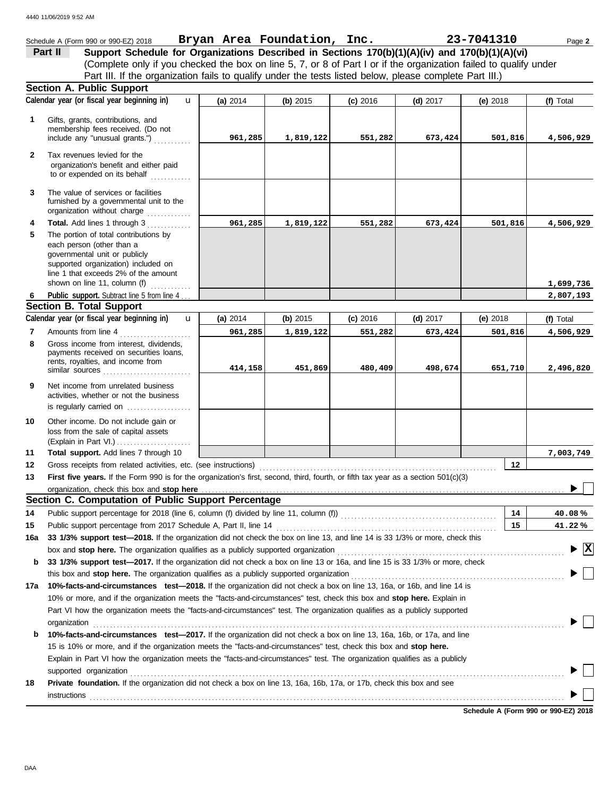|              | Schedule A (Form 990 or 990-EZ) 2018                                                                                                                                                                                                                               | Bryan Area Foundation, Inc. |           |            |            | 23-7041310           | Page 2                                 |  |  |
|--------------|--------------------------------------------------------------------------------------------------------------------------------------------------------------------------------------------------------------------------------------------------------------------|-----------------------------|-----------|------------|------------|----------------------|----------------------------------------|--|--|
|              | Support Schedule for Organizations Described in Sections 170(b)(1)(A)(iv) and 170(b)(1)(A)(vi)<br>Part II                                                                                                                                                          |                             |           |            |            |                      |                                        |  |  |
|              | (Complete only if you checked the box on line 5, 7, or 8 of Part I or if the organization failed to qualify under                                                                                                                                                  |                             |           |            |            |                      |                                        |  |  |
|              | Part III. If the organization fails to qualify under the tests listed below, please complete Part III.)                                                                                                                                                            |                             |           |            |            |                      |                                        |  |  |
|              | <b>Section A. Public Support</b>                                                                                                                                                                                                                                   |                             |           |            |            |                      |                                        |  |  |
|              | Calendar year (or fiscal year beginning in)<br>$\mathbf{u}$                                                                                                                                                                                                        | (a) 2014                    | (b) 2015  | $(c)$ 2016 | $(d)$ 2017 | (e) 2018             | (f) Total                              |  |  |
|              |                                                                                                                                                                                                                                                                    |                             |           |            |            |                      |                                        |  |  |
| 1            | Gifts, grants, contributions, and<br>membership fees received. (Do not                                                                                                                                                                                             |                             |           |            |            |                      |                                        |  |  |
|              | include any "unusual grants.")                                                                                                                                                                                                                                     | 961,285                     | 1,819,122 | 551,282    | 673,424    | 501,816              | 4,506,929                              |  |  |
|              | Tax revenues levied for the                                                                                                                                                                                                                                        |                             |           |            |            |                      |                                        |  |  |
| $\mathbf{2}$ | organization's benefit and either paid                                                                                                                                                                                                                             |                             |           |            |            |                      |                                        |  |  |
|              | to or expended on its behalf                                                                                                                                                                                                                                       |                             |           |            |            |                      |                                        |  |  |
|              |                                                                                                                                                                                                                                                                    |                             |           |            |            |                      |                                        |  |  |
| 3            | The value of services or facilities<br>furnished by a governmental unit to the                                                                                                                                                                                     |                             |           |            |            |                      |                                        |  |  |
|              | organization without charge                                                                                                                                                                                                                                        |                             |           |            |            |                      |                                        |  |  |
| 4            | Total. Add lines 1 through 3                                                                                                                                                                                                                                       | 961,285                     | 1,819,122 | 551,282    | 673,424    | 501,816              | 4,506,929                              |  |  |
| 5            | The portion of total contributions by                                                                                                                                                                                                                              |                             |           |            |            |                      |                                        |  |  |
|              | each person (other than a                                                                                                                                                                                                                                          |                             |           |            |            |                      |                                        |  |  |
|              | governmental unit or publicly                                                                                                                                                                                                                                      |                             |           |            |            |                      |                                        |  |  |
|              | supported organization) included on<br>line 1 that exceeds 2% of the amount                                                                                                                                                                                        |                             |           |            |            |                      |                                        |  |  |
|              | shown on line 11, column (f)                                                                                                                                                                                                                                       |                             |           |            |            |                      | 1,699,736                              |  |  |
| 6            | Public support. Subtract line 5 from line 4                                                                                                                                                                                                                        |                             |           |            |            |                      | 2,807,193                              |  |  |
|              | <b>Section B. Total Support</b>                                                                                                                                                                                                                                    |                             |           |            |            |                      |                                        |  |  |
|              | Calendar year (or fiscal year beginning in)<br>$\mathbf{u}$                                                                                                                                                                                                        | (a) 2014                    | (b) 2015  | $(c)$ 2016 | $(d)$ 2017 | (e) $2018$           | (f) Total                              |  |  |
| 7            | Amounts from line 4                                                                                                                                                                                                                                                | 961,285                     | 1,819,122 | 551,282    | 673,424    | 501,816<br>4,506,929 |                                        |  |  |
| 8            | Gross income from interest, dividends,                                                                                                                                                                                                                             |                             |           |            |            |                      |                                        |  |  |
|              | payments received on securities loans,                                                                                                                                                                                                                             |                             |           |            |            |                      |                                        |  |  |
|              | rents, royalties, and income from<br>similar sources                                                                                                                                                                                                               | 414,158                     | 451,869   | 480,409    | 498,674    | 651,710              | 2,496,820                              |  |  |
| 9            | Net income from unrelated business                                                                                                                                                                                                                                 |                             |           |            |            |                      |                                        |  |  |
|              | activities, whether or not the business                                                                                                                                                                                                                            |                             |           |            |            |                      |                                        |  |  |
|              | is regularly carried on                                                                                                                                                                                                                                            |                             |           |            |            |                      |                                        |  |  |
| 10           | Other income. Do not include gain or                                                                                                                                                                                                                               |                             |           |            |            |                      |                                        |  |  |
|              | loss from the sale of capital assets                                                                                                                                                                                                                               |                             |           |            |            |                      |                                        |  |  |
|              |                                                                                                                                                                                                                                                                    |                             |           |            |            |                      |                                        |  |  |
| 11           | Total support. Add lines 7 through 10                                                                                                                                                                                                                              |                             |           |            |            |                      | 7,003,749                              |  |  |
| 12           | Gross receipts from related activities, etc. (see instructions)                                                                                                                                                                                                    |                             |           |            |            | 12                   |                                        |  |  |
| 13           | First five years. If the Form 990 is for the organization's first, second, third, fourth, or fifth tax year as a section 501(c)(3)                                                                                                                                 |                             |           |            |            |                      |                                        |  |  |
|              | organization, check this box and stop here <i>manufactured contained and a contained a contained a contained a contained a</i>                                                                                                                                     |                             |           |            |            |                      |                                        |  |  |
|              | Section C. Computation of Public Support Percentage                                                                                                                                                                                                                |                             |           |            |            |                      |                                        |  |  |
| 14           |                                                                                                                                                                                                                                                                    |                             |           |            |            | 14                   | 40.08%                                 |  |  |
| 15           |                                                                                                                                                                                                                                                                    |                             |           |            |            | 15                   | 41.22%                                 |  |  |
| 16a          | 33 1/3% support test-2018. If the organization did not check the box on line 13, and line 14 is 33 1/3% or more, check this                                                                                                                                        |                             |           |            |            |                      |                                        |  |  |
|              | box and stop here. The organization qualifies as a publicly supported organization <b>construes and stop here.</b> The organization                                                                                                                                |                             |           |            |            |                      | $\blacktriangleright \boxed{\text{X}}$ |  |  |
| b            | 33 1/3% support test-2017. If the organization did not check a box on line 13 or 16a, and line 15 is 33 1/3% or more, check                                                                                                                                        |                             |           |            |            |                      |                                        |  |  |
|              | this box and stop here. The organization qualifies as a publicly supported organization [11] content content content content of the content of the state of the content of the content of the state of the content of the cont                                     |                             |           |            |            |                      |                                        |  |  |
|              | 17a 10%-facts-and-circumstances test-2018. If the organization did not check a box on line 13, 16a, or 16b, and line 14 is                                                                                                                                         |                             |           |            |            |                      |                                        |  |  |
|              | 10% or more, and if the organization meets the "facts-and-circumstances" test, check this box and stop here. Explain in                                                                                                                                            |                             |           |            |            |                      |                                        |  |  |
|              | Part VI how the organization meets the "facts-and-circumstances" test. The organization qualifies as a publicly supported                                                                                                                                          |                             |           |            |            |                      |                                        |  |  |
|              | organization                                                                                                                                                                                                                                                       |                             |           |            |            |                      |                                        |  |  |
| b            | 10%-facts-and-circumstances test-2017. If the organization did not check a box on line 13, 16a, 16b, or 17a, and line                                                                                                                                              |                             |           |            |            |                      |                                        |  |  |
|              | 15 is 10% or more, and if the organization meets the "facts-and-circumstances" test, check this box and stop here.                                                                                                                                                 |                             |           |            |            |                      |                                        |  |  |
|              | Explain in Part VI how the organization meets the "facts-and-circumstances" test. The organization qualifies as a publicly                                                                                                                                         |                             |           |            |            |                      |                                        |  |  |
|              | supported organization contains and contains a supported organization contains a supported organization contains a supported organization<br>Private foundation. If the organization did not check a box on line 13, 16a, 16b, 17a, or 17b, check this box and see |                             |           |            |            |                      |                                        |  |  |
| 18           |                                                                                                                                                                                                                                                                    |                             |           |            |            |                      |                                        |  |  |
|              | <b>instructions</b>                                                                                                                                                                                                                                                |                             |           |            |            |                      |                                        |  |  |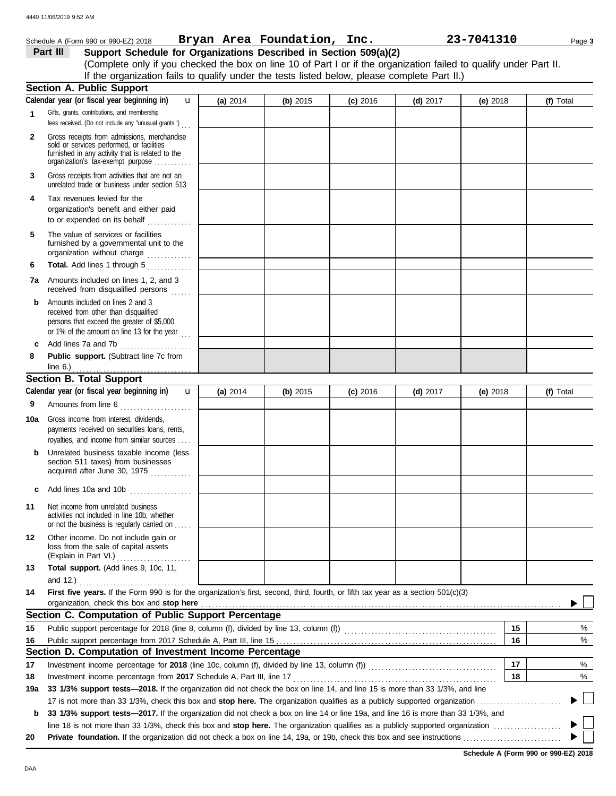|              | Schedule A (Form 990 or 990-EZ) 2018                                                                                                                                              |          | Bryan Area Foundation, Inc. |            |            | 23-7041310 |    | Page 3    |
|--------------|-----------------------------------------------------------------------------------------------------------------------------------------------------------------------------------|----------|-----------------------------|------------|------------|------------|----|-----------|
|              | Support Schedule for Organizations Described in Section 509(a)(2)<br>Part III                                                                                                     |          |                             |            |            |            |    |           |
|              | (Complete only if you checked the box on line 10 of Part I or if the organization failed to qualify under Part II.                                                                |          |                             |            |            |            |    |           |
|              | If the organization fails to qualify under the tests listed below, please complete Part II.)                                                                                      |          |                             |            |            |            |    |           |
|              | <b>Section A. Public Support</b>                                                                                                                                                  |          |                             |            |            |            |    |           |
|              | Calendar year (or fiscal year beginning in)<br>$\mathbf{u}$                                                                                                                       | (a) 2014 | (b) 2015                    | $(c)$ 2016 | (d) $2017$ | (e) 2018   |    | (f) Total |
| 1            | Gifts, grants, contributions, and membership<br>fees received. (Do not include any "unusual grants.")                                                                             |          |                             |            |            |            |    |           |
| $\mathbf{2}$ | Gross receipts from admissions, merchandise<br>sold or services performed, or facilities<br>furnished in any activity that is related to the<br>organization's tax-exempt purpose |          |                             |            |            |            |    |           |
| 3            | Gross receipts from activities that are not an<br>unrelated trade or business under section 513                                                                                   |          |                             |            |            |            |    |           |
| 4            | Tax revenues levied for the<br>organization's benefit and either paid<br>to or expended on its behalf $\ldots$                                                                    |          |                             |            |            |            |    |           |
| 5            | The value of services or facilities<br>furnished by a governmental unit to the                                                                                                    |          |                             |            |            |            |    |           |
| 6            | Total. Add lines 1 through 5                                                                                                                                                      |          |                             |            |            |            |    |           |
|              | 7a Amounts included on lines 1, 2, and 3<br>received from disqualified persons                                                                                                    |          |                             |            |            |            |    |           |
| b            | Amounts included on lines 2 and 3<br>received from other than disqualified<br>persons that exceed the greater of \$5,000<br>or 1% of the amount on line 13 for the year           |          |                             |            |            |            |    |           |
| c            | Add lines 7a and 7b                                                                                                                                                               |          |                             |            |            |            |    |           |
| 8            | Public support. (Subtract line 7c from<br>line $6.$ )                                                                                                                             |          |                             |            |            |            |    |           |
|              | <b>Section B. Total Support</b>                                                                                                                                                   |          |                             |            |            |            |    |           |
|              | Calendar year (or fiscal year beginning in)<br>$\mathbf{u}$                                                                                                                       | (a) 2014 | (b) $2015$                  | $(c)$ 2016 | (d) $2017$ | (e) $2018$ |    | (f) Total |
| 9            | Amounts from line 6                                                                                                                                                               |          |                             |            |            |            |    |           |
| 10a          | Gross income from interest, dividends,<br>payments received on securities loans, rents,<br>royalties, and income from similar sources                                             |          |                             |            |            |            |    |           |
| b            | Unrelated business taxable income (less<br>section 511 taxes) from businesses<br>acquired after June 30, 1975                                                                     |          |                             |            |            |            |    |           |
| с            | Add lines 10a and 10b                                                                                                                                                             |          |                             |            |            |            |    |           |
| 11           | Net income from unrelated business<br>activities not included in line 10b, whether<br>or not the business is regularly carried on                                                 |          |                             |            |            |            |    |           |
| 12           | Other income. Do not include gain or<br>loss from the sale of capital assets<br>(Explain in Part VI.)                                                                             |          |                             |            |            |            |    |           |
| 13           | Total support. (Add lines 9, 10c, 11,<br>and 12.) $\ldots$                                                                                                                        |          |                             |            |            |            |    |           |
| 14           | First five years. If the Form 990 is for the organization's first, second, third, fourth, or fifth tax year as a section 501(c)(3)<br>organization, check this box and stop here  |          |                             |            |            |            |    |           |
|              | Section C. Computation of Public Support Percentage                                                                                                                               |          |                             |            |            |            |    |           |
| 15           | Public support percentage for 2018 (line 8, column (f), divided by line 13, column (f)) [[[[[[[[[[[[[[[[[[[[[                                                                     |          |                             |            |            |            | 15 | %         |
| 16           |                                                                                                                                                                                   |          |                             |            |            |            | 16 | %         |
|              | Section D. Computation of Investment Income Percentage                                                                                                                            |          |                             |            |            |            |    |           |
| 17           |                                                                                                                                                                                   |          |                             |            |            |            | 17 | %         |
| 18           |                                                                                                                                                                                   |          |                             |            |            |            | 18 | %         |
| 19a          | 33 1/3% support tests-2018. If the organization did not check the box on line 14, and line 15 is more than 33 1/3%, and line                                                      |          |                             |            |            |            |    |           |
|              |                                                                                                                                                                                   |          |                             |            |            |            |    |           |
| b            | 33 1/3% support tests-2017. If the organization did not check a box on line 14 or line 19a, and line 16 is more than 33 1/3%, and                                                 |          |                             |            |            |            |    |           |
|              |                                                                                                                                                                                   |          |                             |            |            |            |    |           |
| 20           |                                                                                                                                                                                   |          |                             |            |            |            |    |           |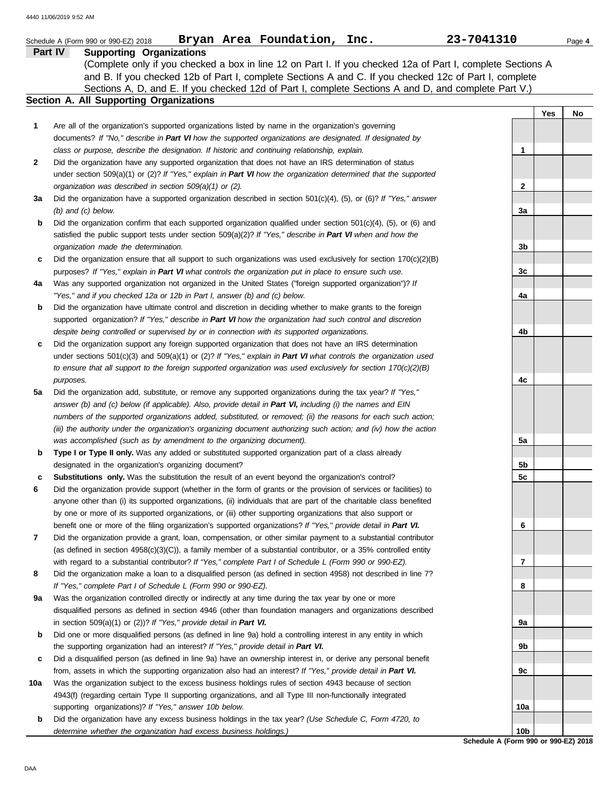|     | Bryan Area Foundation, Inc.<br>Schedule A (Form 990 or 990-EZ) 2018                                                    | 23-7041310      | Page 4 |
|-----|------------------------------------------------------------------------------------------------------------------------|-----------------|--------|
|     | Part IV<br><b>Supporting Organizations</b>                                                                             |                 |        |
|     | (Complete only if you checked a box in line 12 on Part I. If you checked 12a of Part I, complete Sections A            |                 |        |
|     | and B. If you checked 12b of Part I, complete Sections A and C. If you checked 12c of Part I, complete                 |                 |        |
|     | Sections A, D, and E. If you checked 12d of Part I, complete Sections A and D, and complete Part V.)                   |                 |        |
|     | Section A. All Supporting Organizations                                                                                |                 |        |
|     |                                                                                                                        | Yes             | No     |
| 1   | Are all of the organization's supported organizations listed by name in the organization's governing                   |                 |        |
|     | documents? If "No," describe in Part VI how the supported organizations are designated. If designated by               |                 |        |
|     | class or purpose, describe the designation. If historic and continuing relationship, explain.                          | 1               |        |
| 2   | Did the organization have any supported organization that does not have an IRS determination of status                 |                 |        |
|     | under section 509(a)(1) or (2)? If "Yes," explain in Part VI how the organization determined that the supported        |                 |        |
|     | organization was described in section 509(a)(1) or (2).                                                                | 2               |        |
| За  | Did the organization have a supported organization described in section 501(c)(4), (5), or (6)? If "Yes," answer       |                 |        |
|     | $(b)$ and $(c)$ below.                                                                                                 | За              |        |
| b   | Did the organization confirm that each supported organization qualified under section 501(c)(4), (5), or (6) and       |                 |        |
|     | satisfied the public support tests under section $509(a)(2)?$ If "Yes," describe in Part VI when and how the           |                 |        |
|     | organization made the determination.                                                                                   | 3b              |        |
| c   | Did the organization ensure that all support to such organizations was used exclusively for section $170(c)(2)(B)$     |                 |        |
|     | purposes? If "Yes," explain in Part VI what controls the organization put in place to ensure such use.                 |                 |        |
|     | Was any supported organization not organized in the United States ("foreign supported organization")? If               | 3c              |        |
| 4a  | "Yes," and if you checked 12a or 12b in Part I, answer (b) and (c) below.                                              |                 |        |
|     |                                                                                                                        | 4a              |        |
| b   | Did the organization have ultimate control and discretion in deciding whether to make grants to the foreign            |                 |        |
|     | supported organization? If "Yes," describe in Part VI how the organization had such control and discretion             |                 |        |
|     | despite being controlled or supervised by or in connection with its supported organizations.                           | 4b              |        |
| c   | Did the organization support any foreign supported organization that does not have an IRS determination                |                 |        |
|     | under sections $501(c)(3)$ and $509(a)(1)$ or $(2)$ ? If "Yes," explain in Part VI what controls the organization used |                 |        |
|     | to ensure that all support to the foreign supported organization was used exclusively for section $170(c)(2)(B)$       |                 |        |
|     | purposes.                                                                                                              | 4c              |        |
| 5a  | Did the organization add, substitute, or remove any supported organizations during the tax year? If "Yes,"             |                 |        |
|     | answer (b) and (c) below (if applicable). Also, provide detail in Part VI, including (i) the names and EIN             |                 |        |
|     | numbers of the supported organizations added, substituted, or removed; (ii) the reasons for each such action;          |                 |        |
|     | (iii) the authority under the organization's organizing document authorizing such action; and (iv) how the action      |                 |        |
|     | was accomplished (such as by amendment to the organizing document).                                                    | 5a              |        |
| b   | Type I or Type II only. Was any added or substituted supported organization part of a class already                    |                 |        |
|     | designated in the organization's organizing document?                                                                  | 5b<br>5c        |        |
| c   | <b>Substitutions only.</b> Was the substitution the result of an event beyond the organization's control?              |                 |        |
| 6   | Did the organization provide support (whether in the form of grants or the provision of services or facilities) to     |                 |        |
|     | anyone other than (i) its supported organizations, (ii) individuals that are part of the charitable class benefited    |                 |        |
|     | by one or more of its supported organizations, or (iii) other supporting organizations that also support or            |                 |        |
|     | benefit one or more of the filing organization's supported organizations? If "Yes," provide detail in Part VI.         | 6               |        |
| 7   | Did the organization provide a grant, loan, compensation, or other similar payment to a substantial contributor        |                 |        |
|     | (as defined in section 4958(c)(3)(C)), a family member of a substantial contributor, or a 35% controlled entity        |                 |        |
|     | with regard to a substantial contributor? If "Yes," complete Part I of Schedule L (Form 990 or 990-EZ).                | 7               |        |
| 8   | Did the organization make a loan to a disqualified person (as defined in section 4958) not described in line 7?        |                 |        |
|     | If "Yes," complete Part I of Schedule L (Form 990 or 990-EZ).                                                          | 8               |        |
| 9а  | Was the organization controlled directly or indirectly at any time during the tax year by one or more                  |                 |        |
|     | disqualified persons as defined in section 4946 (other than foundation managers and organizations described            |                 |        |
|     | in section $509(a)(1)$ or $(2)$ ? If "Yes," provide detail in Part VI.                                                 | 9а              |        |
| b   | Did one or more disqualified persons (as defined in line 9a) hold a controlling interest in any entity in which        |                 |        |
|     | the supporting organization had an interest? If "Yes," provide detail in Part VI.                                      | 9b              |        |
| c   | Did a disqualified person (as defined in line 9a) have an ownership interest in, or derive any personal benefit        |                 |        |
|     | from, assets in which the supporting organization also had an interest? If "Yes," provide detail in Part VI.           | 9c              |        |
| 10a | Was the organization subject to the excess business holdings rules of section 4943 because of section                  |                 |        |
|     | 4943(f) (regarding certain Type II supporting organizations, and all Type III non-functionally integrated              |                 |        |
|     | supporting organizations)? If "Yes," answer 10b below.                                                                 | 10a             |        |
| b   | Did the organization have any excess business holdings in the tax year? (Use Schedule C, Form 4720, to                 | 10 <sub>b</sub> |        |
|     | determine whether the organization had excess business holdings.)                                                      |                 |        |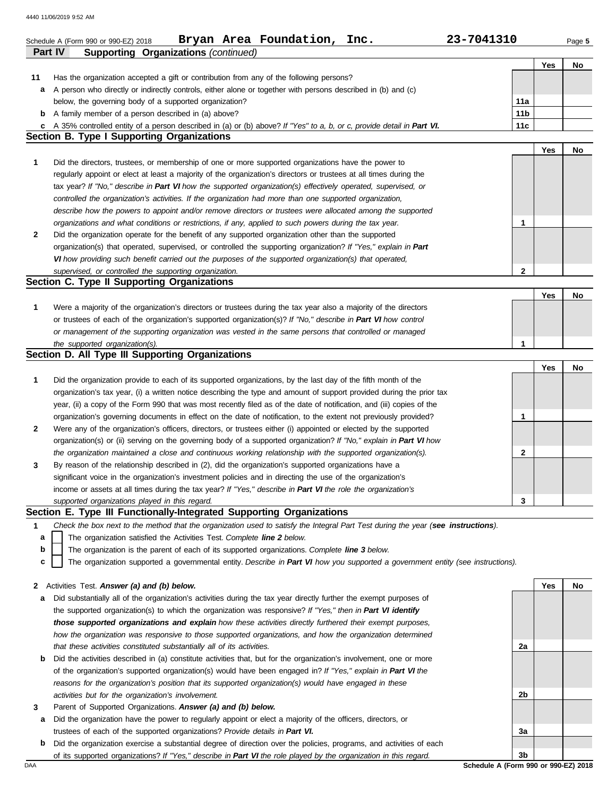|              | Bryan Area Foundation, Inc.<br>23-7041310<br>Schedule A (Form 990 or 990-EZ) 2018<br><b>Part IV</b>                               |                 |     | Page 5 |
|--------------|-----------------------------------------------------------------------------------------------------------------------------------|-----------------|-----|--------|
|              | <b>Supporting Organizations (continued)</b>                                                                                       |                 | Yes | No     |
| 11           | Has the organization accepted a gift or contribution from any of the following persons?                                           |                 |     |        |
|              | a A person who directly or indirectly controls, either alone or together with persons described in (b) and (c)                    |                 |     |        |
|              | below, the governing body of a supported organization?                                                                            | 11a             |     |        |
|              | <b>b</b> A family member of a person described in (a) above?                                                                      | 11 <sub>b</sub> |     |        |
|              | c A 35% controlled entity of a person described in (a) or (b) above? If "Yes" to a, b, or c, provide detail in Part VI.           | 11c             |     |        |
|              | <b>Section B. Type I Supporting Organizations</b>                                                                                 |                 |     |        |
|              |                                                                                                                                   |                 | Yes | No     |
| $\mathbf{1}$ | Did the directors, trustees, or membership of one or more supported organizations have the power to                               |                 |     |        |
|              | regularly appoint or elect at least a majority of the organization's directors or trustees at all times during the                |                 |     |        |
|              | tax year? If "No," describe in Part VI how the supported organization(s) effectively operated, supervised, or                     |                 |     |        |
|              | controlled the organization's activities. If the organization had more than one supported organization,                           |                 |     |        |
|              | describe how the powers to appoint and/or remove directors or trustees were allocated among the supported                         |                 |     |        |
|              | organizations and what conditions or restrictions, if any, applied to such powers during the tax year.                            | 1               |     |        |
| $\mathbf{2}$ | Did the organization operate for the benefit of any supported organization other than the supported                               |                 |     |        |
|              | organization(s) that operated, supervised, or controlled the supporting organization? If "Yes," explain in Part                   |                 |     |        |
|              | VI how providing such benefit carried out the purposes of the supported organization(s) that operated,                            | 2               |     |        |
|              | supervised, or controlled the supporting organization.<br>Section C. Type II Supporting Organizations                             |                 |     |        |
|              |                                                                                                                                   |                 | Yes | No     |
| $\mathbf{1}$ | Were a majority of the organization's directors or trustees during the tax year also a majority of the directors                  |                 |     |        |
|              | or trustees of each of the organization's supported organization(s)? If "No," describe in Part VI how control                     |                 |     |        |
|              | or management of the supporting organization was vested in the same persons that controlled or managed                            |                 |     |        |
|              | the supported organization(s).                                                                                                    | 1               |     |        |
|              | Section D. All Type III Supporting Organizations                                                                                  |                 |     |        |
|              |                                                                                                                                   |                 | Yes | No     |
| $\mathbf{1}$ | Did the organization provide to each of its supported organizations, by the last day of the fifth month of the                    |                 |     |        |
|              | organization's tax year, (i) a written notice describing the type and amount of support provided during the prior tax             |                 |     |        |
|              | year, (ii) a copy of the Form 990 that was most recently filed as of the date of notification, and (iii) copies of the            |                 |     |        |
|              | organization's governing documents in effect on the date of notification, to the extent not previously provided?                  | 1               |     |        |
| $\mathbf{2}$ | Were any of the organization's officers, directors, or trustees either (i) appointed or elected by the supported                  |                 |     |        |
|              | organization(s) or (ii) serving on the governing body of a supported organization? If "No," explain in Part VI how                |                 |     |        |
|              | the organization maintained a close and continuous working relationship with the supported organization(s).                       | 2               |     |        |
| 3            | By reason of the relationship described in (2), did the organization's supported organizations have a                             |                 |     |        |
|              | significant voice in the organization's investment policies and in directing the use of the organization's                        |                 |     |        |
|              | income or assets at all times during the tax year? If "Yes," describe in Part VI the role the organization's                      |                 |     |        |
|              | supported organizations played in this regard.                                                                                    | 3               |     |        |
|              | Section E. Type III Functionally-Integrated Supporting Organizations                                                              |                 |     |        |
| 1            | Check the box next to the method that the organization used to satisfy the Integral Part Test during the year (see instructions). |                 |     |        |
| а            | The organization satisfied the Activities Test. Complete line 2 below.                                                            |                 |     |        |
| b            | The organization is the parent of each of its supported organizations. Complete line 3 below.                                     |                 |     |        |
| c            | The organization supported a governmental entity. Describe in Part VI how you supported a government entity (see instructions).   |                 |     |        |
|              |                                                                                                                                   |                 |     |        |
| 2            | Activities Test. Answer (a) and (b) below.                                                                                        |                 | Yes | No     |
| а            | Did substantially all of the organization's activities during the tax year directly further the exempt purposes of                |                 |     |        |
|              | the supported organization(s) to which the organization was responsive? If "Yes," then in Part VI identify                        |                 |     |        |
|              | those supported organizations and explain how these activities directly furthered their exempt purposes,                          |                 |     |        |
|              | how the organization was responsive to those supported organizations, and how the organization determined                         |                 |     |        |
|              | that these activities constituted substantially all of its activities.                                                            | 2a              |     |        |
| b            | Did the activities described in (a) constitute activities that, but for the organization's involvement, one or more               |                 |     |        |
|              | of the organization's supported organization(s) would have been engaged in? If "Yes," explain in Part VI the                      |                 |     |        |
|              | reasons for the organization's position that its supported organization(s) would have engaged in these                            |                 |     |        |
|              | activities but for the organization's involvement.                                                                                | 2b              |     |        |
| 3            | Parent of Supported Organizations. Answer (a) and (b) below.                                                                      |                 |     |        |
| а            | Did the organization have the power to regularly appoint or elect a majority of the officers, directors, or                       |                 |     |        |
|              | trustees of each of the supported organizations? Provide details in Part VI.                                                      | За              |     |        |
|              |                                                                                                                                   |                 |     |        |

DAA **Schedule A (Form 990 or 990-EZ) 2018 b** Did the organization exercise a substantial degree of direction over the policies, programs, and activities of each of its supported organizations? *If "Yes," describe in Part VI the role played by the organization in this regard.*

**3b**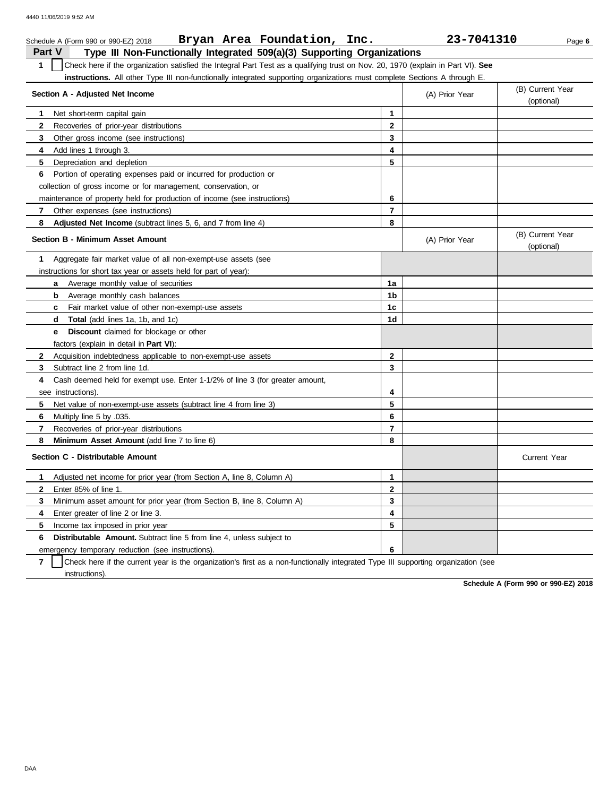| Bryan Area Foundation, Inc.<br>Schedule A (Form 990 or 990-EZ) 2018                                                                              |                | 23-7041310     | Page 6                         |
|--------------------------------------------------------------------------------------------------------------------------------------------------|----------------|----------------|--------------------------------|
| Part V<br>Type III Non-Functionally Integrated 509(a)(3) Supporting Organizations                                                                |                |                |                                |
| $\mathbf{1}$<br>Check here if the organization satisfied the Integral Part Test as a qualifying trust on Nov. 20, 1970 (explain in Part VI). See |                |                |                                |
| instructions. All other Type III non-functionally integrated supporting organizations must complete Sections A through E.                        |                |                |                                |
| Section A - Adjusted Net Income                                                                                                                  |                | (A) Prior Year | (B) Current Year<br>(optional) |
| Net short-term capital gain<br>1                                                                                                                 | 1              |                |                                |
| $\mathbf{2}$<br>Recoveries of prior-year distributions                                                                                           | $\mathbf 2$    |                |                                |
| 3<br>Other gross income (see instructions)                                                                                                       | 3              |                |                                |
| Add lines 1 through 3.<br>4                                                                                                                      | 4              |                |                                |
| 5.<br>Depreciation and depletion                                                                                                                 | 5              |                |                                |
| Portion of operating expenses paid or incurred for production or<br>6                                                                            |                |                |                                |
| collection of gross income or for management, conservation, or                                                                                   |                |                |                                |
| maintenance of property held for production of income (see instructions)                                                                         | 6              |                |                                |
| $\mathbf{7}$<br>Other expenses (see instructions)                                                                                                | $\overline{7}$ |                |                                |
| 8<br><b>Adjusted Net Income</b> (subtract lines 5, 6, and 7 from line 4)                                                                         | 8              |                |                                |
| <b>Section B - Minimum Asset Amount</b>                                                                                                          |                | (A) Prior Year | (B) Current Year<br>(optional) |
| 1<br>Aggregate fair market value of all non-exempt-use assets (see                                                                               |                |                |                                |
| instructions for short tax year or assets held for part of year):                                                                                |                |                |                                |
| Average monthly value of securities<br>a                                                                                                         | 1a             |                |                                |
| Average monthly cash balances<br>b                                                                                                               | 1b             |                |                                |
| Fair market value of other non-exempt-use assets<br>C                                                                                            | 1c             |                |                                |
| <b>Total</b> (add lines 1a, 1b, and 1c)<br>d                                                                                                     | 1d             |                |                                |
| <b>Discount</b> claimed for blockage or other<br>е                                                                                               |                |                |                                |
| factors (explain in detail in <b>Part VI)</b> :                                                                                                  |                |                |                                |
| $\mathbf{2}$<br>Acquisition indebtedness applicable to non-exempt-use assets                                                                     | $\mathbf{2}$   |                |                                |
| 3<br>Subtract line 2 from line 1d.                                                                                                               | 3              |                |                                |
| Cash deemed held for exempt use. Enter 1-1/2% of line 3 (for greater amount,<br>4                                                                |                |                |                                |
| see instructions).                                                                                                                               | 4              |                |                                |
| 5<br>Net value of non-exempt-use assets (subtract line 4 from line 3)                                                                            | 5              |                |                                |
| 6<br>.035. Multiply line 5 by                                                                                                                    | 6              |                |                                |
| $\overline{7}$<br>Recoveries of prior-year distributions                                                                                         | $\overline{7}$ |                |                                |
| 8<br>Minimum Asset Amount (add line 7 to line 6)                                                                                                 | 8              |                |                                |
| Section C - Distributable Amount                                                                                                                 |                |                | <b>Current Year</b>            |
| Adjusted net income for prior year (from Section A, line 8, Column A)<br>1.                                                                      | 1              |                |                                |
| $\mathbf{2}$<br>Enter 85% of line 1.                                                                                                             | $\overline{2}$ |                |                                |
| 3<br>Minimum asset amount for prior year (from Section B, line 8, Column A)                                                                      | 3              |                |                                |
| 4<br>Enter greater of line 2 or line 3.                                                                                                          | 4              |                |                                |
| 5<br>Income tax imposed in prior year                                                                                                            | 5              |                |                                |
| 6<br><b>Distributable Amount.</b> Subtract line 5 from line 4, unless subject to                                                                 |                |                |                                |
| emergency temporary reduction (see instructions).                                                                                                | 6              |                |                                |

**7** instructions). Check here if the current year is the organization's first as a non-functionally integrated Type III supporting organization (see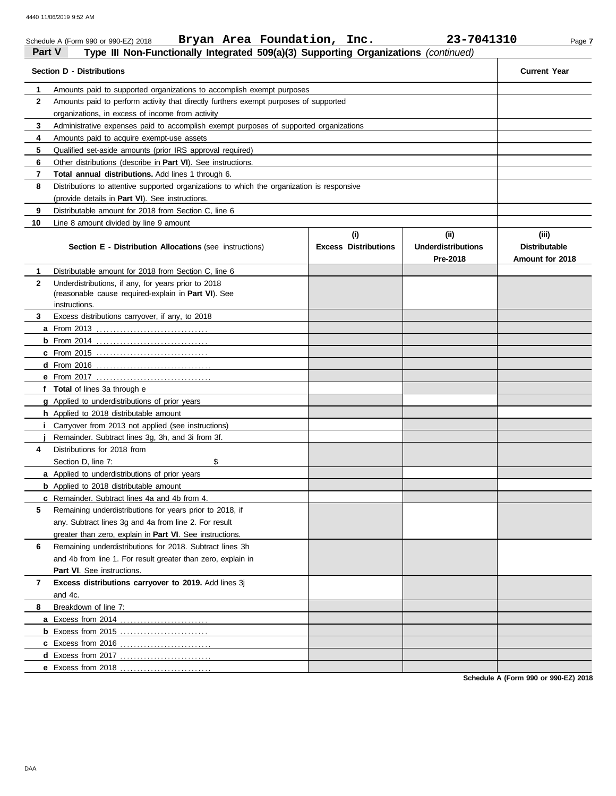|                                                                                                      | Bryan Area Foundation, Inc.<br>Schedule A (Form 990 or 990-EZ) 2018                        |                                    | 23-7041310                                    | Page 7                                           |  |  |  |  |  |  |  |
|------------------------------------------------------------------------------------------------------|--------------------------------------------------------------------------------------------|------------------------------------|-----------------------------------------------|--------------------------------------------------|--|--|--|--|--|--|--|
| <b>Part V</b><br>Type III Non-Functionally Integrated 509(a)(3) Supporting Organizations (continued) |                                                                                            |                                    |                                               |                                                  |  |  |  |  |  |  |  |
| <b>Section D - Distributions</b>                                                                     | <b>Current Year</b>                                                                        |                                    |                                               |                                                  |  |  |  |  |  |  |  |
| 1                                                                                                    | Amounts paid to supported organizations to accomplish exempt purposes                      |                                    |                                               |                                                  |  |  |  |  |  |  |  |
| $\mathbf{2}$                                                                                         | Amounts paid to perform activity that directly furthers exempt purposes of supported       |                                    |                                               |                                                  |  |  |  |  |  |  |  |
|                                                                                                      | organizations, in excess of income from activity                                           |                                    |                                               |                                                  |  |  |  |  |  |  |  |
| 3                                                                                                    | Administrative expenses paid to accomplish exempt purposes of supported organizations      |                                    |                                               |                                                  |  |  |  |  |  |  |  |
| 4                                                                                                    | Amounts paid to acquire exempt-use assets                                                  |                                    |                                               |                                                  |  |  |  |  |  |  |  |
| 5                                                                                                    | Qualified set-aside amounts (prior IRS approval required)                                  |                                    |                                               |                                                  |  |  |  |  |  |  |  |
| 6                                                                                                    | Other distributions (describe in <b>Part VI</b> ). See instructions.                       |                                    |                                               |                                                  |  |  |  |  |  |  |  |
| 7                                                                                                    | <b>Total annual distributions.</b> Add lines 1 through 6.                                  |                                    |                                               |                                                  |  |  |  |  |  |  |  |
| 8                                                                                                    | Distributions to attentive supported organizations to which the organization is responsive |                                    |                                               |                                                  |  |  |  |  |  |  |  |
|                                                                                                      | (provide details in <b>Part VI</b> ). See instructions.                                    |                                    |                                               |                                                  |  |  |  |  |  |  |  |
| 9                                                                                                    | Distributable amount for 2018 from Section C, line 6                                       |                                    |                                               |                                                  |  |  |  |  |  |  |  |
| 10                                                                                                   | Line 8 amount divided by line 9 amount                                                     |                                    |                                               |                                                  |  |  |  |  |  |  |  |
|                                                                                                      | Section E - Distribution Allocations (see instructions)                                    | (i)<br><b>Excess Distributions</b> | (ii)<br><b>Underdistributions</b><br>Pre-2018 | (iii)<br><b>Distributable</b><br>Amount for 2018 |  |  |  |  |  |  |  |
| 1                                                                                                    | Distributable amount for 2018 from Section C, line 6                                       |                                    |                                               |                                                  |  |  |  |  |  |  |  |
| $\mathbf{2}$                                                                                         | Underdistributions, if any, for years prior to 2018                                        |                                    |                                               |                                                  |  |  |  |  |  |  |  |
|                                                                                                      | (reasonable cause required-explain in Part VI). See                                        |                                    |                                               |                                                  |  |  |  |  |  |  |  |
|                                                                                                      | instructions.                                                                              |                                    |                                               |                                                  |  |  |  |  |  |  |  |
| 3                                                                                                    | Excess distributions carryover, if any, to 2018                                            |                                    |                                               |                                                  |  |  |  |  |  |  |  |
|                                                                                                      | <b>a</b> From 2013                                                                         |                                    |                                               |                                                  |  |  |  |  |  |  |  |
|                                                                                                      |                                                                                            |                                    |                                               |                                                  |  |  |  |  |  |  |  |
|                                                                                                      |                                                                                            |                                    |                                               |                                                  |  |  |  |  |  |  |  |
|                                                                                                      |                                                                                            |                                    |                                               |                                                  |  |  |  |  |  |  |  |
|                                                                                                      |                                                                                            |                                    |                                               |                                                  |  |  |  |  |  |  |  |
|                                                                                                      | f Total of lines 3a through e                                                              |                                    |                                               |                                                  |  |  |  |  |  |  |  |
|                                                                                                      | g Applied to underdistributions of prior years                                             |                                    |                                               |                                                  |  |  |  |  |  |  |  |
|                                                                                                      | h Applied to 2018 distributable amount                                                     |                                    |                                               |                                                  |  |  |  |  |  |  |  |
|                                                                                                      | Carryover from 2013 not applied (see instructions)                                         |                                    |                                               |                                                  |  |  |  |  |  |  |  |
|                                                                                                      | Remainder. Subtract lines 3g, 3h, and 3i from 3f.                                          |                                    |                                               |                                                  |  |  |  |  |  |  |  |
| 4                                                                                                    | Distributions for 2018 from                                                                |                                    |                                               |                                                  |  |  |  |  |  |  |  |
|                                                                                                      | \$<br>Section D, line 7:                                                                   |                                    |                                               |                                                  |  |  |  |  |  |  |  |
|                                                                                                      | a Applied to underdistributions of prior years                                             |                                    |                                               |                                                  |  |  |  |  |  |  |  |
|                                                                                                      | <b>b</b> Applied to 2018 distributable amount                                              |                                    |                                               |                                                  |  |  |  |  |  |  |  |
|                                                                                                      | c Remainder. Subtract lines 4a and 4b from 4.                                              |                                    |                                               |                                                  |  |  |  |  |  |  |  |
| 5                                                                                                    | Remaining underdistributions for years prior to 2018, if                                   |                                    |                                               |                                                  |  |  |  |  |  |  |  |
|                                                                                                      | any. Subtract lines 3g and 4a from line 2. For result                                      |                                    |                                               |                                                  |  |  |  |  |  |  |  |
|                                                                                                      | greater than zero, explain in <b>Part VI</b> . See instructions.                           |                                    |                                               |                                                  |  |  |  |  |  |  |  |
| 6                                                                                                    | Remaining underdistributions for 2018. Subtract lines 3h                                   |                                    |                                               |                                                  |  |  |  |  |  |  |  |
|                                                                                                      | and 4b from line 1. For result greater than zero, explain in                               |                                    |                                               |                                                  |  |  |  |  |  |  |  |
|                                                                                                      | <b>Part VI.</b> See instructions.                                                          |                                    |                                               |                                                  |  |  |  |  |  |  |  |
| $\mathbf{7}$                                                                                         | Excess distributions carryover to 2019. Add lines 3j                                       |                                    |                                               |                                                  |  |  |  |  |  |  |  |
|                                                                                                      | and 4c.                                                                                    |                                    |                                               |                                                  |  |  |  |  |  |  |  |
| 8                                                                                                    | Breakdown of line 7:                                                                       |                                    |                                               |                                                  |  |  |  |  |  |  |  |
|                                                                                                      |                                                                                            |                                    |                                               |                                                  |  |  |  |  |  |  |  |
|                                                                                                      |                                                                                            |                                    |                                               |                                                  |  |  |  |  |  |  |  |
|                                                                                                      |                                                                                            |                                    |                                               |                                                  |  |  |  |  |  |  |  |
|                                                                                                      |                                                                                            |                                    |                                               |                                                  |  |  |  |  |  |  |  |
|                                                                                                      | e Excess from 2018                                                                         |                                    |                                               |                                                  |  |  |  |  |  |  |  |